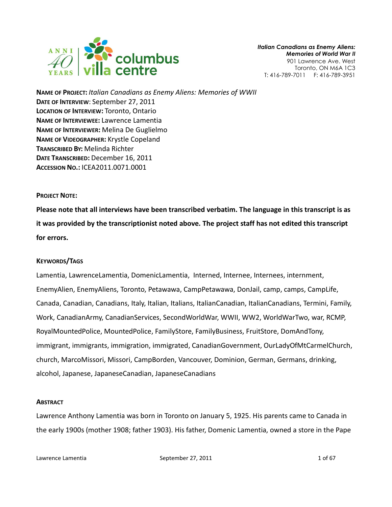

NAME OF PROJECT: Italian Canadians as Enemy Aliens: Memories of WWII DATE OF INTERVIEW: September 27, 2011 LOCATION OF INTERVIEW: Toronto, Ontario NAME OF INTERVIEWEE: Lawrence Lamentia NAME OF INTERVIEWER: Melina De Guglielmo NAME OF VIDEOGRAPHER: Krystle Copeland TRANSCRIBED BY: Melinda Richter DATE TRANSCRIBED: December 16, 2011 ACCESSION NO.: ICEA2011.0071.0001

#### PROJECT NOTE:

Please note that all interviews have been transcribed verbatim. The language in this transcript is as it was provided by the transcriptionist noted above. The project staff has not edited this transcript for errors.

# KEYWORDS/TAGS

Lamentia, LawrenceLamentia, DomenicLamentia, Interned, Internee, Internees, internment, EnemyAlien, EnemyAliens, Toronto, Petawawa, CampPetawawa, DonJail, camp, camps, CampLife, Canada, Canadian, Canadians, Italy, Italian, Italians, ItalianCanadian, ItalianCanadians, Termini, Family, Work, CanadianArmy, CanadianServices, SecondWorldWar, WWII, WW2, WorldWarTwo, war, RCMP, RoyalMountedPolice, MountedPolice, FamilyStore, FamilyBusiness, FruitStore, DomAndTony, immigrant, immigrants, immigration, immigrated, CanadianGovernment, OurLadyOfMtCarmelChurch, church, MarcoMissori, Missori, CampBorden, Vancouver, Dominion, German, Germans, drinking, alcohol, Japanese, JapaneseCanadian, JapaneseCanadians

#### **ABSTRACT**

Lawrence Anthony Lamentia was born in Toronto on January 5, 1925. His parents came to Canada in the early 1900s (mother 1908; father 1903). His father, Domenic Lamentia, owned a store in the Pape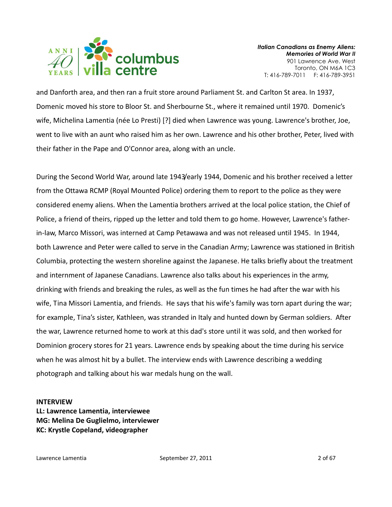

and Danforth area, and then ran a fruit store around Parliament St. and Carlton St area. In 1937, Domenic moved his store to Bloor St. and Sherbourne St., where it remained until 1970. Domenic's wife, Michelina Lamentia (née Lo Presti) [?] died when Lawrence was young. Lawrence's brother, Joe, went to live with an aunt who raised him as her own. Lawrence and his other brother, Peter, lived with their father in the Pape and O'Connor area, along with an uncle.

During the Second World War, around late 1943/early 1944, Domenic and his brother received a letter from the Ottawa RCMP (Royal Mounted Police) ordering them to report to the police as they were considered enemy aliens. When the Lamentia brothers arrived at the local police station, the Chief of Police, a friend of theirs, ripped up the letter and told them to go home. However, Lawrence's fatherin-law, Marco Missori, was interned at Camp Petawawa and was not released until 1945. In 1944, both Lawrence and Peter were called to serve in the Canadian Army; Lawrence was stationed in British Columbia, protecting the western shoreline against the Japanese. He talks briefly about the treatment and internment of Japanese Canadians. Lawrence also talks about his experiences in the army, drinking with friends and breaking the rules, as well as the fun times he had after the war with his wife, Tina Missori Lamentia, and friends. He says that his wife's family was torn apart during the war; for example, Tina's sister, Kathleen, was stranded in Italy and hunted down by German soldiers. After the war, Lawrence returned home to work at this dad's store until it was sold, and then worked for Dominion grocery stores for 21 years. Lawrence ends by speaking about the time during his service when he was almost hit by a bullet. The interview ends with Lawrence describing a wedding photograph and talking about his war medals hung on the wall.

#### INTERVIEW

LL: Lawrence Lamentia, interviewee MG: Melina De Guglielmo, interviewer KC: Krystle Copeland, videographer

Lawrence Lamentia and the September 27, 2011 and the September 27, 2011 and the September 27, 2016 and the September 27, 2011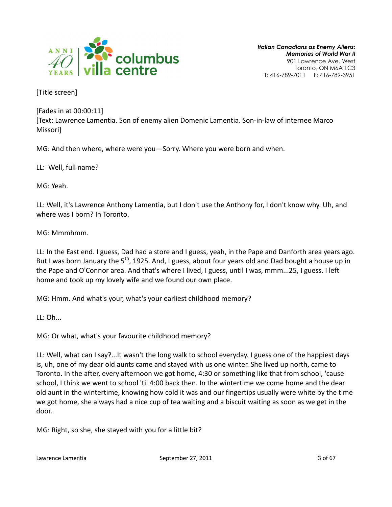

[Title screen]

[Fades in at 00:00:11] [Text: Lawrence Lamentia. Son of enemy alien Domenic Lamentia. Son-in-law of internee Marco Missori]

MG: And then where, where were you—Sorry. Where you were born and when.

LL: Well, full name?

MG: Yeah.

LL: Well, it's Lawrence Anthony Lamentia, but I don't use the Anthony for, I don't know why. Uh, and where was I born? In Toronto.

MG: Mmmhmm.

LL: In the East end. I guess, Dad had a store and I guess, yeah, in the Pape and Danforth area years ago. But I was born January the  $5<sup>th</sup>$ , 1925. And, I guess, about four years old and Dad bought a house up in the Pape and O'Connor area. And that's where I lived, I guess, until I was, mmm...25, I guess. I left home and took up my lovely wife and we found our own place.

MG: Hmm. And what's your, what's your earliest childhood memory?

LL: Oh...

MG: Or what, what's your favourite childhood memory?

LL: Well, what can I say?...It wasn't the long walk to school everyday. I guess one of the happiest days is, uh, one of my dear old aunts came and stayed with us one winter. She lived up north, came to Toronto. In the after, every afternoon we got home, 4:30 or something like that from school, 'cause school, I think we went to school 'til 4:00 back then. In the wintertime we come home and the dear old aunt in the wintertime, knowing how cold it was and our fingertips usually were white by the time we got home, she always had a nice cup of tea waiting and a biscuit waiting as soon as we get in the door.

MG: Right, so she, she stayed with you for a little bit?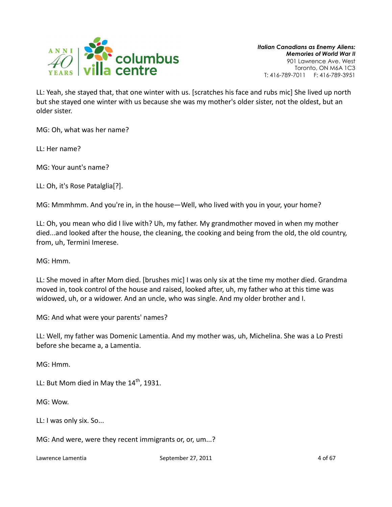

LL: Yeah, she stayed that, that one winter with us. [scratches his face and rubs mic] She lived up north but she stayed one winter with us because she was my mother's older sister, not the oldest, but an older sister.

MG: Oh, what was her name?

LL: Her name?

MG: Your aunt's name?

LL: Oh, it's Rose Patalglia[?].

MG: Mmmhmm. And you're in, in the house—Well, who lived with you in your, your home?

LL: Oh, you mean who did I live with? Uh, my father. My grandmother moved in when my mother died...and looked after the house, the cleaning, the cooking and being from the old, the old country, from, uh, Termini Imerese.

MG: Hmm.

LL: She moved in after Mom died. [brushes mic] I was only six at the time my mother died. Grandma moved in, took control of the house and raised, looked after, uh, my father who at this time was widowed, uh, or a widower. And an uncle, who was single. And my older brother and I.

MG: And what were your parents' names?

LL: Well, my father was Domenic Lamentia. And my mother was, uh, Michelina. She was a Lo Presti before she became a, a Lamentia.

MG: Hmm.

LL: But Mom died in May the  $14<sup>th</sup>$ , 1931.

MG: Wow.

LL: I was only six. So...

MG: And were, were they recent immigrants or, or, um...?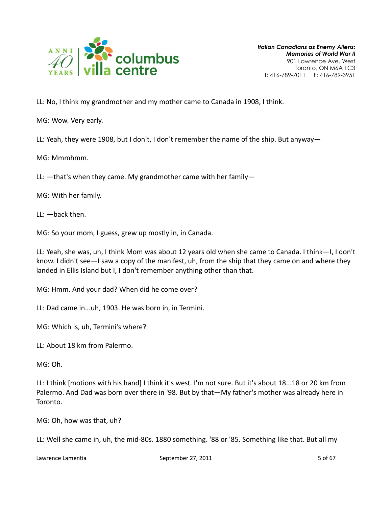

LL: No, I think my grandmother and my mother came to Canada in 1908, I think.

MG: Wow. Very early.

LL: Yeah, they were 1908, but I don't, I don't remember the name of the ship. But anyway—

MG: Mmmhmm.

LL: —that's when they came. My grandmother came with her family—

MG: With her family.

LL: —back then.

MG: So your mom, I guess, grew up mostly in, in Canada.

LL: Yeah, she was, uh, I think Mom was about 12 years old when she came to Canada. I think—I, I don't know. I didn't see—I saw a copy of the manifest, uh, from the ship that they came on and where they landed in Ellis Island but I, I don't remember anything other than that.

MG: Hmm. And your dad? When did he come over?

LL: Dad came in...uh, 1903. He was born in, in Termini.

MG: Which is, uh, Termini's where?

LL: About 18 km from Palermo.

MG: Oh.

LL: I think [motions with his hand] I think it's west. I'm not sure. But it's about 18...18 or 20 km from Palermo. And Dad was born over there in '98. But by that—My father's mother was already here in Toronto.

MG: Oh, how was that, uh?

LL: Well she came in, uh, the mid-80s. 1880 something. '88 or '85. Something like that. But all my

Lawrence Lamentia **September 27, 2011 September 27, 2011** 5 of 67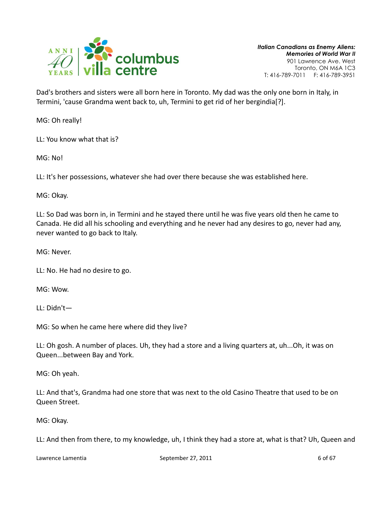

Dad's brothers and sisters were all born here in Toronto. My dad was the only one born in Italy, in Termini, 'cause Grandma went back to, uh, Termini to get rid of her bergindia[?].

MG: Oh really!

LL: You know what that is?

MG: No!

LL: It's her possessions, whatever she had over there because she was established here.

MG: Okay.

LL: So Dad was born in, in Termini and he stayed there until he was five years old then he came to Canada. He did all his schooling and everything and he never had any desires to go, never had any, never wanted to go back to Italy.

MG: Never.

LL: No. He had no desire to go.

MG: Wow.

LL: Didn't—

MG: So when he came here where did they live?

LL: Oh gosh. A number of places. Uh, they had a store and a living quarters at, uh...Oh, it was on Queen...between Bay and York.

MG: Oh yeah.

LL: And that's, Grandma had one store that was next to the old Casino Theatre that used to be on Queen Street.

MG: Okay.

LL: And then from there, to my knowledge, uh, I think they had a store at, what is that? Uh, Queen and

Lawrence Lamentia and September 27, 2011 and September 27, 2011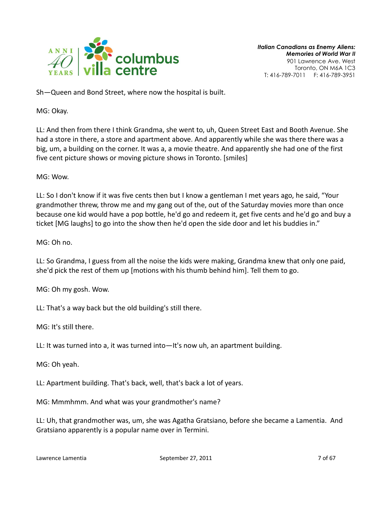

Sh—Queen and Bond Street, where now the hospital is built.

MG: Okay.

LL: And then from there I think Grandma, she went to, uh, Queen Street East and Booth Avenue. She had a store in there, a store and apartment above. And apparently while she was there there was a big, um, a building on the corner. It was a, a movie theatre. And apparently she had one of the first five cent picture shows or moving picture shows in Toronto. [smiles]

MG: Wow.

LL: So I don't know if it was five cents then but I know a gentleman I met years ago, he said, "Your grandmother threw, throw me and my gang out of the, out of the Saturday movies more than once because one kid would have a pop bottle, he'd go and redeem it, get five cents and he'd go and buy a ticket [MG laughs] to go into the show then he'd open the side door and let his buddies in."

MG: Oh no.

LL: So Grandma, I guess from all the noise the kids were making, Grandma knew that only one paid, she'd pick the rest of them up [motions with his thumb behind him]. Tell them to go.

MG: Oh my gosh. Wow.

LL: That's a way back but the old building's still there.

MG: It's still there.

LL: It was turned into a, it was turned into—It's now uh, an apartment building.

MG: Oh yeah.

LL: Apartment building. That's back, well, that's back a lot of years.

MG: Mmmhmm. And what was your grandmother's name?

LL: Uh, that grandmother was, um, she was Agatha Gratsiano, before she became a Lamentia. And Gratsiano apparently is a popular name over in Termini.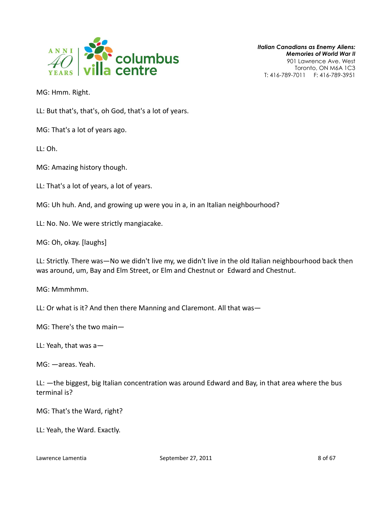

MG: Hmm. Right.

LL: But that's, that's, oh God, that's a lot of years.

MG: That's a lot of years ago.

LL: Oh.

MG: Amazing history though.

LL: That's a lot of years, a lot of years.

MG: Uh huh. And, and growing up were you in a, in an Italian neighbourhood?

LL: No. No. We were strictly mangiacake.

MG: Oh, okay. [laughs]

LL: Strictly. There was—No we didn't live my, we didn't live in the old Italian neighbourhood back then was around, um, Bay and Elm Street, or Elm and Chestnut or Edward and Chestnut.

MG: Mmmhmm.

LL: Or what is it? And then there Manning and Claremont. All that was—

MG: There's the two main—

LL: Yeah, that was a—

MG: —areas. Yeah.

LL: —the biggest, big Italian concentration was around Edward and Bay, in that area where the bus terminal is?

MG: That's the Ward, right?

LL: Yeah, the Ward. Exactly.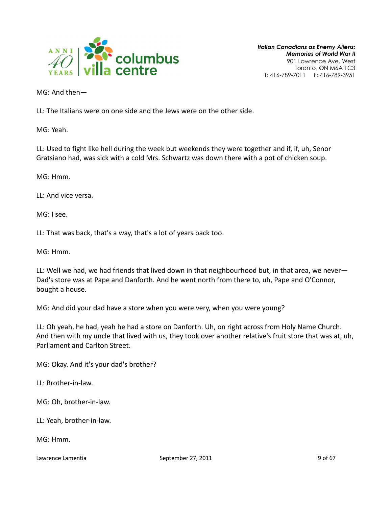

MG: And then—

LL: The Italians were on one side and the Jews were on the other side.

MG: Yeah.

LL: Used to fight like hell during the week but weekends they were together and if, if, uh, Senor Gratsiano had, was sick with a cold Mrs. Schwartz was down there with a pot of chicken soup.

MG: Hmm.

LL: And vice versa.

MG: I see.

LL: That was back, that's a way, that's a lot of years back too.

MG: Hmm.

LL: Well we had, we had friends that lived down in that neighbourhood but, in that area, we never— Dad's store was at Pape and Danforth. And he went north from there to, uh, Pape and O'Connor, bought a house.

MG: And did your dad have a store when you were very, when you were young?

LL: Oh yeah, he had, yeah he had a store on Danforth. Uh, on right across from Holy Name Church. And then with my uncle that lived with us, they took over another relative's fruit store that was at, uh, Parliament and Carlton Street.

MG: Okay. And it's your dad's brother?

LL: Brother-in-law.

MG: Oh, brother-in-law.

LL: Yeah, brother-in-law.

MG: Hmm.

Lawrence Lamentia and September 27, 2011 and September 27, 2011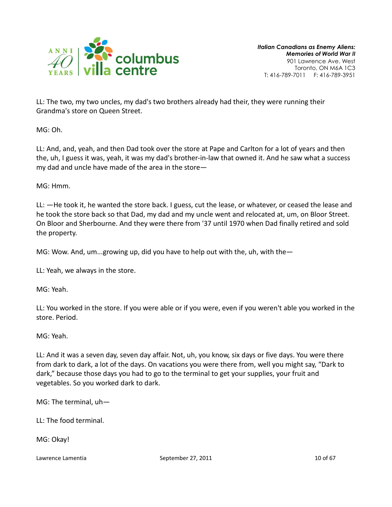

LL: The two, my two uncles, my dad's two brothers already had their, they were running their Grandma's store on Queen Street.

MG: Oh.

LL: And, and, yeah, and then Dad took over the store at Pape and Carlton for a lot of years and then the, uh, I guess it was, yeah, it was my dad's brother-in-law that owned it. And he saw what a success my dad and uncle have made of the area in the store—

MG: Hmm.

LL: —He took it, he wanted the store back. I guess, cut the lease, or whatever, or ceased the lease and he took the store back so that Dad, my dad and my uncle went and relocated at, um, on Bloor Street. On Bloor and Sherbourne. And they were there from '37 until 1970 when Dad finally retired and sold the property.

MG: Wow. And, um...growing up, did you have to help out with the, uh, with the-

LL: Yeah, we always in the store.

MG: Yeah.

LL: You worked in the store. If you were able or if you were, even if you weren't able you worked in the store. Period.

MG: Yeah.

LL: And it was a seven day, seven day affair. Not, uh, you know, six days or five days. You were there from dark to dark, a lot of the days. On vacations you were there from, well you might say, "Dark to dark," because those days you had to go to the terminal to get your supplies, your fruit and vegetables. So you worked dark to dark.

MG: The terminal, uh—

LL: The food terminal.

MG: Okay!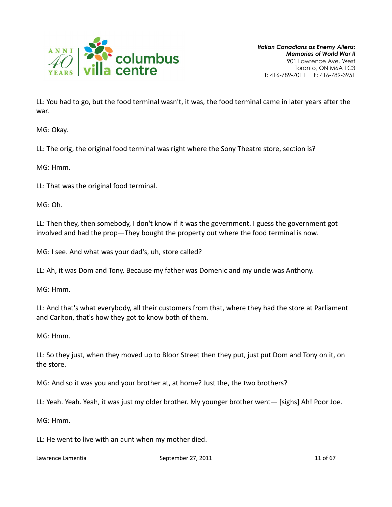

LL: You had to go, but the food terminal wasn't, it was, the food terminal came in later years after the war.

MG: Okay.

LL: The orig, the original food terminal was right where the Sony Theatre store, section is?

MG: Hmm.

LL: That was the original food terminal.

MG: Oh.

LL: Then they, then somebody, I don't know if it was the government. I guess the government got involved and had the prop—They bought the property out where the food terminal is now.

MG: I see. And what was your dad's, uh, store called?

LL: Ah, it was Dom and Tony. Because my father was Domenic and my uncle was Anthony.

MG: Hmm.

LL: And that's what everybody, all their customers from that, where they had the store at Parliament and Carlton, that's how they got to know both of them.

MG: Hmm.

LL: So they just, when they moved up to Bloor Street then they put, just put Dom and Tony on it, on the store.

MG: And so it was you and your brother at, at home? Just the, the two brothers?

LL: Yeah. Yeah. Yeah, it was just my older brother. My younger brother went— [sighs] Ah! Poor Joe.

MG: Hmm.

LL: He went to live with an aunt when my mother died.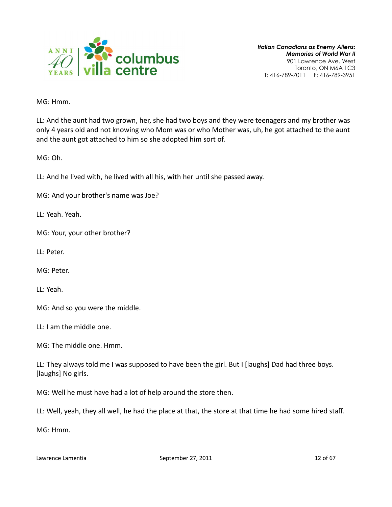

MG: Hmm.

LL: And the aunt had two grown, her, she had two boys and they were teenagers and my brother was only 4 years old and not knowing who Mom was or who Mother was, uh, he got attached to the aunt and the aunt got attached to him so she adopted him sort of.

MG: Oh.

LL: And he lived with, he lived with all his, with her until she passed away.

MG: And your brother's name was Joe?

LL: Yeah. Yeah.

MG: Your, your other brother?

LL: Peter.

MG: Peter.

LL: Yeah.

MG: And so you were the middle.

LL: I am the middle one.

MG: The middle one. Hmm.

LL: They always told me I was supposed to have been the girl. But I [laughs] Dad had three boys. [laughs] No girls.

MG: Well he must have had a lot of help around the store then.

LL: Well, yeah, they all well, he had the place at that, the store at that time he had some hired staff.

MG: Hmm.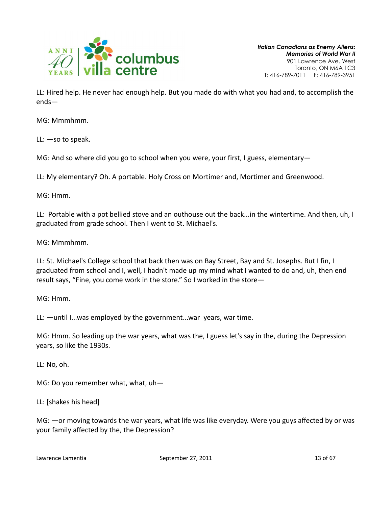

LL: Hired help. He never had enough help. But you made do with what you had and, to accomplish the ends—

MG: Mmmhmm.

LL: —so to speak.

MG: And so where did you go to school when you were, your first, I guess, elementary—

LL: My elementary? Oh. A portable. Holy Cross on Mortimer and, Mortimer and Greenwood.

MG: Hmm.

LL: Portable with a pot bellied stove and an outhouse out the back...in the wintertime. And then, uh, I graduated from grade school. Then I went to St. Michael's.

MG: Mmmhmm.

LL: St. Michael's College school that back then was on Bay Street, Bay and St. Josephs. But I fin, I graduated from school and I, well, I hadn't made up my mind what I wanted to do and, uh, then end result says, "Fine, you come work in the store." So I worked in the store—

MG: Hmm.

LL: —until I...was employed by the government...war years, war time.

MG: Hmm. So leading up the war years, what was the, I guess let's say in the, during the Depression years, so like the 1930s.

LL: No, oh.

MG: Do you remember what, what, uh—

LL: [shakes his head]

MG: —or moving towards the war years, what life was like everyday. Were you guys affected by or was your family affected by the, the Depression?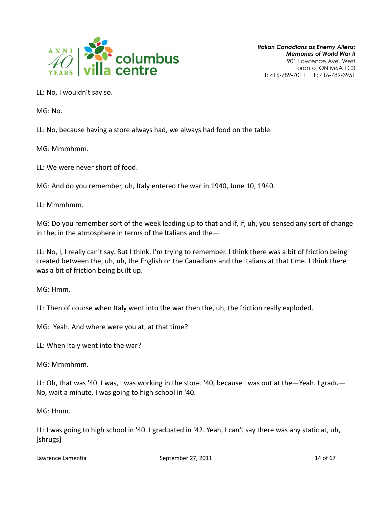

LL: No, I wouldn't say so.

MG: No.

LL: No, because having a store always had, we always had food on the table.

MG: Mmmhmm.

LL: We were never short of food.

MG: And do you remember, uh, Italy entered the war in 1940, June 10, 1940.

LL: Mmmhmm.

MG: Do you remember sort of the week leading up to that and if, if, uh, you sensed any sort of change in the, in the atmosphere in terms of the Italians and the $-$ 

LL: No, I, I really can't say. But I think, I'm trying to remember. I think there was a bit of friction being created between the, uh, uh, the English or the Canadians and the Italians at that time. I think there was a bit of friction being built up.

MG: Hmm.

LL: Then of course when Italy went into the war then the, uh, the friction really exploded.

MG: Yeah. And where were you at, at that time?

LL: When Italy went into the war?

MG: Mmmhmm.

LL: Oh, that was '40. I was, I was working in the store. '40, because I was out at the—Yeah. I gradu— No, wait a minute. I was going to high school in '40.

MG: Hmm.

LL: I was going to high school in '40. I graduated in '42. Yeah, I can't say there was any static at, uh, [shrugs]

Lawrence Lamentia **September 27, 2011** 14 of 67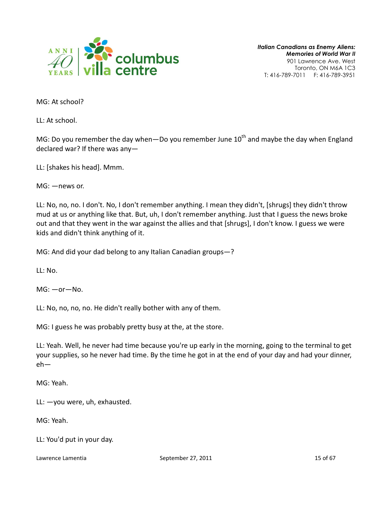

MG: At school?

LL: At school.

MG: Do you remember the day when—Do you remember June  $10<sup>th</sup>$  and maybe the day when England declared war? If there was any—

LL: [shakes his head]. Mmm.

MG: —news or.

LL: No, no, no. I don't. No, I don't remember anything. I mean they didn't, [shrugs] they didn't throw mud at us or anything like that. But, uh, I don't remember anything. Just that I guess the news broke out and that they went in the war against the allies and that [shrugs], I don't know. I guess we were kids and didn't think anything of it.

MG: And did your dad belong to any Italian Canadian groups—?

LL: No.

MG: —or—No.

LL: No, no, no, no. He didn't really bother with any of them.

MG: I guess he was probably pretty busy at the, at the store.

LL: Yeah. Well, he never had time because you're up early in the morning, going to the terminal to get your supplies, so he never had time. By the time he got in at the end of your day and had your dinner, eh—

MG: Yeah.

LL: —you were, uh, exhausted.

MG: Yeah.

LL: You'd put in your day.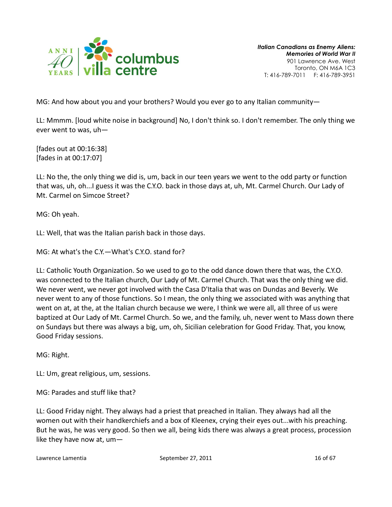

MG: And how about you and your brothers? Would you ever go to any Italian community—

LL: Mmmm. [loud white noise in background] No, I don't think so. I don't remember. The only thing we ever went to was, uh—

[fades out at 00:16:38] [fades in at 00:17:07]

LL: No the, the only thing we did is, um, back in our teen years we went to the odd party or function that was, uh, oh...I guess it was the C.Y.O. back in those days at, uh, Mt. Carmel Church. Our Lady of Mt. Carmel on Simcoe Street?

MG: Oh yeah.

LL: Well, that was the Italian parish back in those days.

MG: At what's the C.Y.—What's C.Y.O. stand for?

LL: Catholic Youth Organization. So we used to go to the odd dance down there that was, the C.Y.O. was connected to the Italian church, Our Lady of Mt. Carmel Church. That was the only thing we did. We never went, we never got involved with the Casa D'Italia that was on Dundas and Beverly. We never went to any of those functions. So I mean, the only thing we associated with was anything that went on at, at the, at the Italian church because we were, I think we were all, all three of us were baptized at Our Lady of Mt. Carmel Church. So we, and the family, uh, never went to Mass down there on Sundays but there was always a big, um, oh, Sicilian celebration for Good Friday. That, you know, Good Friday sessions.

MG: Right.

LL: Um, great religious, um, sessions.

MG: Parades and stuff like that?

LL: Good Friday night. They always had a priest that preached in Italian. They always had all the women out with their handkerchiefs and a box of Kleenex, crying their eyes out...with his preaching. But he was, he was very good. So then we all, being kids there was always a great process, procession like they have now at, um—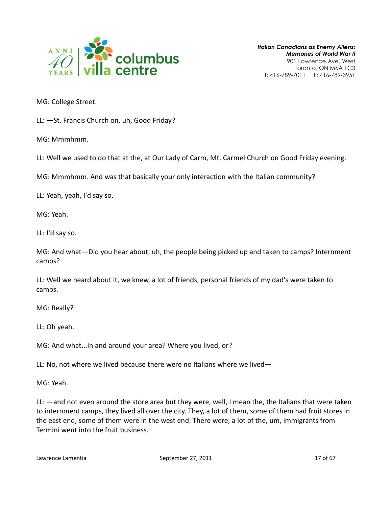

MG: College Street.

LL: —St. Francis Church on, uh, Good Friday?

MG: Mmmhmm.

LL: Well we used to do that at the, at Our Lady of Carm, Mt. Carmel Church on Good Friday evening.

MG: Mmmhmm. And was that basically your only interaction with the Italian community?

LL: Yeah, yeah, I'd say so.

MG: Yeah.

LL: I'd say so.

MG: And what—Did you hear about, uh, the people being picked up and taken to camps? Internment camps?

LL: Well we heard about it, we knew, a lot of friends, personal friends of my dad's were taken to camps.

MG: Really?

LL: Oh yeah.

MG: And what...In and around your area? Where you lived, or?

LL: No, not where we lived because there were no Italians where we lived—

MG: Yeah.

LL: —and not even around the store area but they were, well, I mean the, the Italians that were taken to internment camps, they lived all over the city. They, a lot of them, some of them had fruit stores in the east end, some of them were in the west end. There were, a lot of the, um, immigrants from Termini went into the fruit business.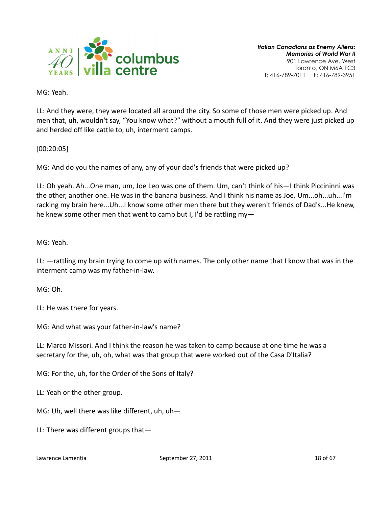

MG: Yeah.

LL: And they were, they were located all around the city. So some of those men were picked up. And men that, uh, wouldn't say, "You know what?" without a mouth full of it. And they were just picked up and herded off like cattle to, uh, interment camps.

[00:20:05]

MG: And do you the names of any, any of your dad's friends that were picked up?

LL: Oh yeah. Ah...One man, um, Joe Leo was one of them. Um, can't think of his—I think Piccininni was the other, another one. He was in the banana business. And I think his name as Joe. Um...oh...uh...I'm racking my brain here...Uh...I know some other men there but they weren't friends of Dad's...He knew, he knew some other men that went to camp but I, I'd be rattling my—

MG: Yeah.

LL: —rattling my brain trying to come up with names. The only other name that I know that was in the interment camp was my father-in-law.

MG: Oh.

LL: He was there for years.

MG: And what was your father-in-law's name?

LL: Marco Missori. And I think the reason he was taken to camp because at one time he was a secretary for the, uh, oh, what was that group that were worked out of the Casa D'Italia?

MG: For the, uh, for the Order of the Sons of Italy?

LL: Yeah or the other group.

MG: Uh, well there was like different, uh, uh—

LL: There was different groups that—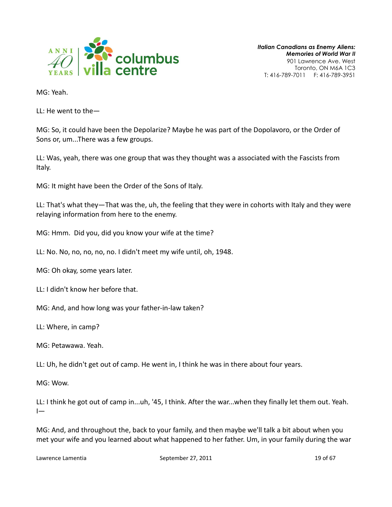

MG: Yeah.

LL: He went to the—

MG: So, it could have been the Depolarize? Maybe he was part of the Dopolavoro, or the Order of Sons or, um...There was a few groups.

LL: Was, yeah, there was one group that was they thought was a associated with the Fascists from Italy.

MG: It might have been the Order of the Sons of Italy.

LL: That's what they—That was the, uh, the feeling that they were in cohorts with Italy and they were relaying information from here to the enemy.

MG: Hmm. Did you, did you know your wife at the time?

LL: No. No, no, no, no, no. I didn't meet my wife until, oh, 1948.

MG: Oh okay, some years later.

LL: I didn't know her before that.

MG: And, and how long was your father-in-law taken?

LL: Where, in camp?

MG: Petawawa. Yeah.

LL: Uh, he didn't get out of camp. He went in, I think he was in there about four years.

MG: Wow.

LL: I think he got out of camp in...uh, '45, I think. After the war...when they finally let them out. Yeah.  $\overline{ }$ 

MG: And, and throughout the, back to your family, and then maybe we'll talk a bit about when you met your wife and you learned about what happened to her father. Um, in your family during the war

Lawrence Lamentia **September 27, 2011** 19 of 67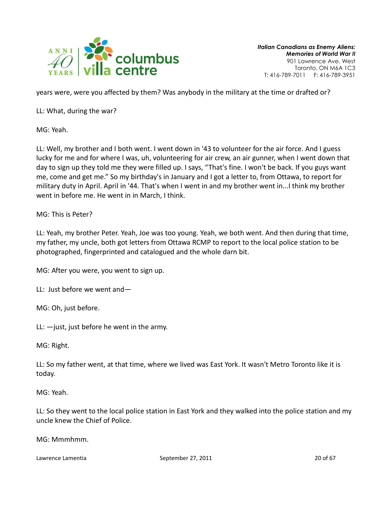

years were, were you affected by them? Was anybody in the military at the time or drafted or?

LL: What, during the war?

MG: Yeah.

LL: Well, my brother and I both went. I went down in '43 to volunteer for the air force. And I guess lucky for me and for where I was, uh, volunteering for air crew, an air gunner, when I went down that day to sign up they told me they were filled up. I says, "That's fine. I won't be back. If you guys want me, come and get me." So my birthday's in January and I got a letter to, from Ottawa, to report for military duty in April. April in '44. That's when I went in and my brother went in...I think my brother went in before me. He went in in March, I think.

MG: This is Peter?

LL: Yeah, my brother Peter. Yeah, Joe was too young. Yeah, we both went. And then during that time, my father, my uncle, both got letters from Ottawa RCMP to report to the local police station to be photographed, fingerprinted and catalogued and the whole darn bit.

MG: After you were, you went to sign up.

LL: Just before we went and—

MG: Oh, just before.

LL: —just, just before he went in the army.

MG: Right.

LL: So my father went, at that time, where we lived was East York. It wasn't Metro Toronto like it is today.

MG: Yeah.

LL: So they went to the local police station in East York and they walked into the police station and my uncle knew the Chief of Police.

MG: Mmmhmm.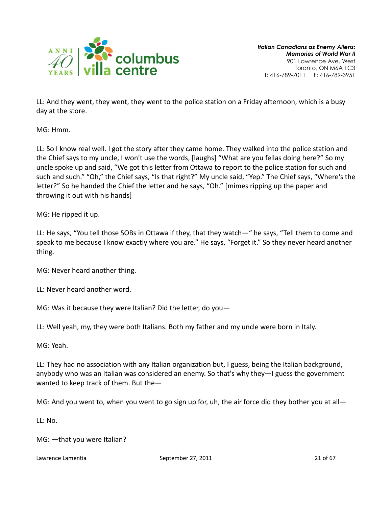

LL: And they went, they went, they went to the police station on a Friday afternoon, which is a busy day at the store.

MG: Hmm.

LL: So I know real well. I got the story after they came home. They walked into the police station and the Chief says to my uncle, I won't use the words, [laughs] "What are you fellas doing here?" So my uncle spoke up and said, "We got this letter from Ottawa to report to the police station for such and such and such." "Oh," the Chief says, "Is that right?" My uncle said, "Yep." The Chief says, "Where's the letter?" So he handed the Chief the letter and he says, "Oh." [mimes ripping up the paper and throwing it out with his hands]

MG: He ripped it up.

LL: He says, "You tell those SOBs in Ottawa if they, that they watch—" he says, "Tell them to come and speak to me because I know exactly where you are." He says, "Forget it." So they never heard another thing.

MG: Never heard another thing.

LL: Never heard another word.

MG: Was it because they were Italian? Did the letter, do you—

LL: Well yeah, my, they were both Italians. Both my father and my uncle were born in Italy.

MG: Yeah.

LL: They had no association with any Italian organization but, I guess, being the Italian background, anybody who was an Italian was considered an enemy. So that's why they—I guess the government wanted to keep track of them. But the—

MG: And you went to, when you went to go sign up for, uh, the air force did they bother you at all—

LL: No.

MG: —that you were Italian?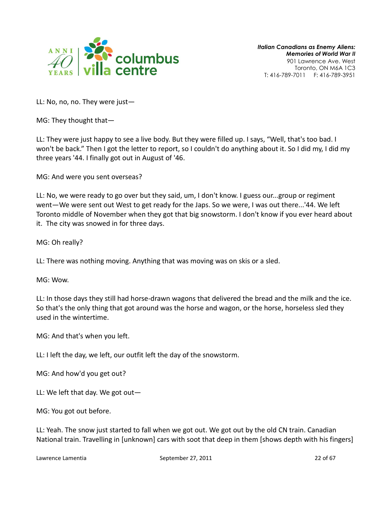

LL: No, no, no. They were just—

MG: They thought that—

LL: They were just happy to see a live body. But they were filled up. I says, "Well, that's too bad. I won't be back." Then I got the letter to report, so I couldn't do anything about it. So I did my, I did my three years '44. I finally got out in August of '46.

MG: And were you sent overseas?

LL: No, we were ready to go over but they said, um, I don't know. I guess our...group or regiment went—We were sent out West to get ready for the Japs. So we were, I was out there...'44. We left Toronto middle of November when they got that big snowstorm. I don't know if you ever heard about it. The city was snowed in for three days.

MG: Oh really?

LL: There was nothing moving. Anything that was moving was on skis or a sled.

MG: Wow.

LL: In those days they still had horse-drawn wagons that delivered the bread and the milk and the ice. So that's the only thing that got around was the horse and wagon, or the horse, horseless sled they used in the wintertime.

MG: And that's when you left.

LL: I left the day, we left, our outfit left the day of the snowstorm.

MG: And how'd you get out?

LL: We left that day. We got out—

MG: You got out before.

LL: Yeah. The snow just started to fall when we got out. We got out by the old CN train. Canadian National train. Travelling in [unknown] cars with soot that deep in them [shows depth with his fingers]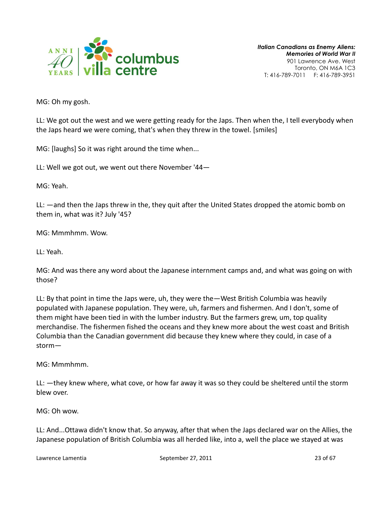

MG: Oh my gosh.

LL: We got out the west and we were getting ready for the Japs. Then when the, I tell everybody when the Japs heard we were coming, that's when they threw in the towel. [smiles]

MG: [laughs] So it was right around the time when...

LL: Well we got out, we went out there November '44—

MG: Yeah.

LL: —and then the Japs threw in the, they quit after the United States dropped the atomic bomb on them in, what was it? July '45?

MG: Mmmhmm. Wow.

LL: Yeah.

MG: And was there any word about the Japanese internment camps and, and what was going on with those?

LL: By that point in time the Japs were, uh, they were the—West British Columbia was heavily populated with Japanese population. They were, uh, farmers and fishermen. And I don't, some of them might have been tied in with the lumber industry. But the farmers grew, um, top quality merchandise. The fishermen fished the oceans and they knew more about the west coast and British Columbia than the Canadian government did because they knew where they could, in case of a storm—

MG: Mmmhmm.

LL: —they knew where, what cove, or how far away it was so they could be sheltered until the storm blew over.

MG: Oh wow.

LL: And...Ottawa didn't know that. So anyway, after that when the Japs declared war on the Allies, the Japanese population of British Columbia was all herded like, into a, well the place we stayed at was

Lawrence Lamentia **September 27, 2011** 23 of 67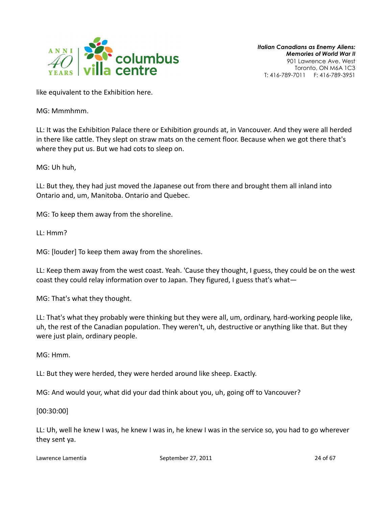

like equivalent to the Exhibition here.

MG: Mmmhmm.

LL: It was the Exhibition Palace there or Exhibition grounds at, in Vancouver. And they were all herded in there like cattle. They slept on straw mats on the cement floor. Because when we got there that's where they put us. But we had cots to sleep on.

MG: Uh huh,

LL: But they, they had just moved the Japanese out from there and brought them all inland into Ontario and, um, Manitoba. Ontario and Quebec.

MG: To keep them away from the shoreline.

LL: Hmm?

MG: [louder] To keep them away from the shorelines.

LL: Keep them away from the west coast. Yeah. 'Cause they thought, I guess, they could be on the west coast they could relay information over to Japan. They figured, I guess that's what—

MG: That's what they thought.

LL: That's what they probably were thinking but they were all, um, ordinary, hard-working people like, uh, the rest of the Canadian population. They weren't, uh, destructive or anything like that. But they were just plain, ordinary people.

MG: Hmm.

LL: But they were herded, they were herded around like sheep. Exactly.

MG: And would your, what did your dad think about you, uh, going off to Vancouver?

[00:30:00]

LL: Uh, well he knew I was, he knew I was in, he knew I was in the service so, you had to go wherever they sent ya.

Lawrence Lamentia **September 27, 2011** 24 of 67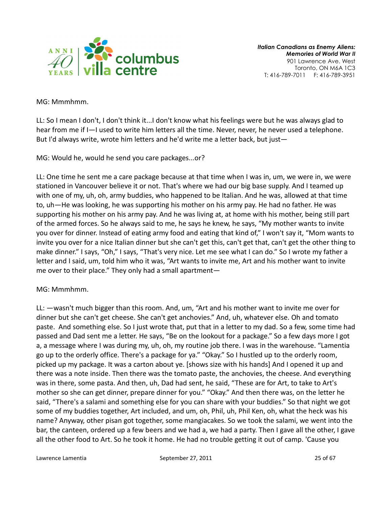

MG: Mmmhmm.

LL: So I mean I don't, I don't think it...I don't know what his feelings were but he was always glad to hear from me if I—I used to write him letters all the time. Never, never, he never used a telephone. But I'd always write, wrote him letters and he'd write me a letter back, but just—

MG: Would he, would he send you care packages...or?

LL: One time he sent me a care package because at that time when I was in, um, we were in, we were stationed in Vancouver believe it or not. That's where we had our big base supply. And I teamed up with one of my, uh, oh, army buddies, who happened to be Italian. And he was, allowed at that time to, uh—He was looking, he was supporting his mother on his army pay. He had no father. He was supporting his mother on his army pay. And he was living at, at home with his mother, being still part of the armed forces. So he always said to me, he says he knew, he says, "My mother wants to invite you over for dinner. Instead of eating army food and eating that kind of," I won't say it, "Mom wants to invite you over for a nice Italian dinner but she can't get this, can't get that, can't get the other thing to make dinner." I says, "Oh," I says, "That's very nice. Let me see what I can do." So I wrote my father a letter and I said, um, told him who it was, "Art wants to invite me, Art and his mother want to invite me over to their place." They only had a small apartment—

# MG: Mmmhmm.

LL: —wasn't much bigger than this room. And, um, "Art and his mother want to invite me over for dinner but she can't get cheese. She can't get anchovies." And, uh, whatever else. Oh and tomato paste. And something else. So I just wrote that, put that in a letter to my dad. So a few, some time had passed and Dad sent me a letter. He says, "Be on the lookout for a package." So a few days more I got a, a message where I was during my, uh, oh, my routine job there. I was in the warehouse. "Lamentia go up to the orderly office. There's a package for ya." "Okay." So I hustled up to the orderly room, picked up my package. It was a carton about ye. [shows size with his hands] And I opened it up and there was a note inside. Then there was the tomato paste, the anchovies, the cheese. And everything was in there, some pasta. And then, uh, Dad had sent, he said, "These are for Art, to take to Art's mother so she can get dinner, prepare dinner for you." "Okay." And then there was, on the letter he said, "There's a salami and something else for you can share with your buddies." So that night we got some of my buddies together, Art included, and um, oh, Phil, uh, Phil Ken, oh, what the heck was his name? Anyway, other pisan got together, some mangiacakes. So we took the salami, we went into the bar, the canteen, ordered up a few beers and we had a, we had a party. Then I gave all the other, I gave all the other food to Art. So he took it home. He had no trouble getting it out of camp. 'Cause you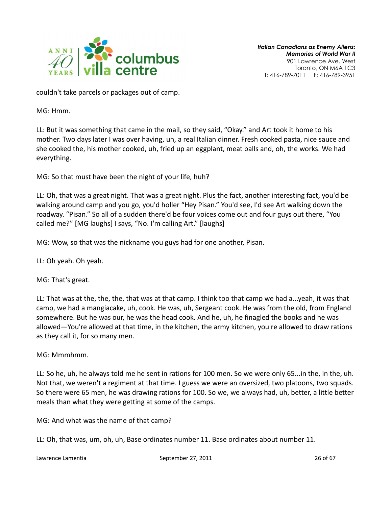

couldn't take parcels or packages out of camp.

MG: Hmm.

LL: But it was something that came in the mail, so they said, "Okay." and Art took it home to his mother. Two days later I was over having, uh, a real Italian dinner. Fresh cooked pasta, nice sauce and she cooked the, his mother cooked, uh, fried up an eggplant, meat balls and, oh, the works. We had everything.

MG: So that must have been the night of your life, huh?

LL: Oh, that was a great night. That was a great night. Plus the fact, another interesting fact, you'd be walking around camp and you go, you'd holler "Hey Pisan." You'd see, I'd see Art walking down the roadway. "Pisan." So all of a sudden there'd be four voices come out and four guys out there, "You called me?" [MG laughs] I says, "No. I'm calling Art." [laughs]

MG: Wow, so that was the nickname you guys had for one another, Pisan.

LL: Oh yeah. Oh yeah.

MG: That's great.

LL: That was at the, the, the, that was at that camp. I think too that camp we had a...yeah, it was that camp, we had a mangiacake, uh, cook. He was, uh, Sergeant cook. He was from the old, from England somewhere. But he was our, he was the head cook. And he, uh, he finagled the books and he was allowed—You're allowed at that time, in the kitchen, the army kitchen, you're allowed to draw rations as they call it, for so many men.

MG: Mmmhmm.

LL: So he, uh, he always told me he sent in rations for 100 men. So we were only 65...in the, in the, uh. Not that, we weren't a regiment at that time. I guess we were an oversized, two platoons, two squads. So there were 65 men, he was drawing rations for 100. So we, we always had, uh, better, a little better meals than what they were getting at some of the camps.

MG: And what was the name of that camp?

LL: Oh, that was, um, oh, uh, Base ordinates number 11. Base ordinates about number 11.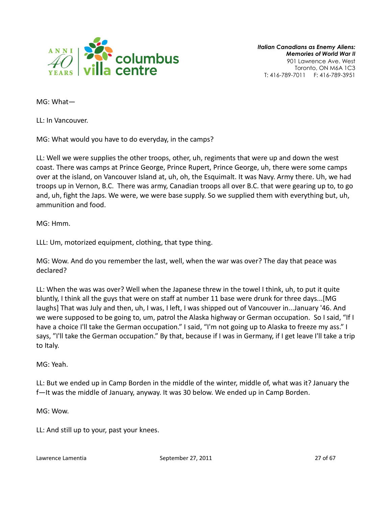

MG: What—

LL: In Vancouver.

MG: What would you have to do everyday, in the camps?

LL: Well we were supplies the other troops, other, uh, regiments that were up and down the west coast. There was camps at Prince George, Prince Rupert, Prince George, uh, there were some camps over at the island, on Vancouver Island at, uh, oh, the Esquimalt. It was Navy. Army there. Uh, we had troops up in Vernon, B.C. There was army, Canadian troops all over B.C. that were gearing up to, to go and, uh, fight the Japs. We were, we were base supply. So we supplied them with everything but, uh, ammunition and food.

MG: Hmm.

LLL: Um, motorized equipment, clothing, that type thing.

MG: Wow. And do you remember the last, well, when the war was over? The day that peace was declared?

LL: When the was was over? Well when the Japanese threw in the towel I think, uh, to put it quite bluntly, I think all the guys that were on staff at number 11 base were drunk for three days...[MG laughs] That was July and then, uh, I was, I left, I was shipped out of Vancouver in...January '46. And we were supposed to be going to, um, patrol the Alaska highway or German occupation. So I said, "If I have a choice I'll take the German occupation." I said, "I'm not going up to Alaska to freeze my ass." I says, "I'll take the German occupation." By that, because if I was in Germany, if I get leave I'll take a trip to Italy.

MG: Yeah.

LL: But we ended up in Camp Borden in the middle of the winter, middle of, what was it? January the f—It was the middle of January, anyway. It was 30 below. We ended up in Camp Borden.

MG: Wow.

LL: And still up to your, past your knees.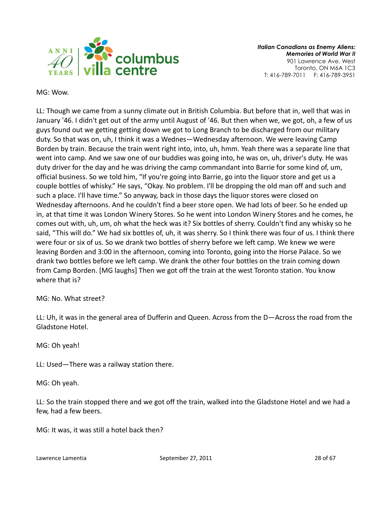

MG: Wow.

LL: Though we came from a sunny climate out in British Columbia. But before that in, well that was in January '46. I didn't get out of the army until August of '46. But then when we, we got, oh, a few of us guys found out we getting getting down we got to Long Branch to be discharged from our military duty. So that was on, uh, I think it was a Wednes—Wednesday afternoon. We were leaving Camp Borden by train. Because the train went right into, into, uh, hmm. Yeah there was a separate line that went into camp. And we saw one of our buddies was going into, he was on, uh, driver's duty. He was duty driver for the day and he was driving the camp commandant into Barrie for some kind of, um, official business. So we told him, "If you're going into Barrie, go into the liquor store and get us a couple bottles of whisky." He says, "Okay. No problem. I'll be dropping the old man off and such and such a place. I'll have time." So anyway, back in those days the liquor stores were closed on Wednesday afternoons. And he couldn't find a beer store open. We had lots of beer. So he ended up in, at that time it was London Winery Stores. So he went into London Winery Stores and he comes, he comes out with, uh, um, oh what the heck was it? Six bottles of sherry. Couldn't find any whisky so he said, "This will do." We had six bottles of, uh, it was sherry. So I think there was four of us. I think there were four or six of us. So we drank two bottles of sherry before we left camp. We knew we were leaving Borden and 3:00 in the afternoon, coming into Toronto, going into the Horse Palace. So we drank two bottles before we left camp. We drank the other four bottles on the train coming down from Camp Borden. [MG laughs] Then we got off the train at the west Toronto station. You know where that is?

MG: No. What street?

LL: Uh, it was in the general area of Dufferin and Queen. Across from the D—Across the road from the Gladstone Hotel.

MG: Oh yeah!

LL: Used—There was a railway station there.

MG: Oh yeah.

LL: So the train stopped there and we got off the train, walked into the Gladstone Hotel and we had a few, had a few beers.

MG: It was, it was still a hotel back then?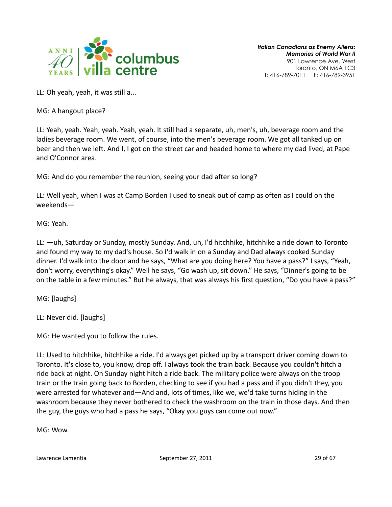

LL: Oh yeah, yeah, it was still a...

MG: A hangout place?

LL: Yeah, yeah. Yeah, yeah. Yeah, yeah. It still had a separate, uh, men's, uh, beverage room and the ladies beverage room. We went, of course, into the men's beverage room. We got all tanked up on beer and then we left. And I, I got on the street car and headed home to where my dad lived, at Pape and O'Connor area.

MG: And do you remember the reunion, seeing your dad after so long?

LL: Well yeah, when I was at Camp Borden I used to sneak out of camp as often as I could on the weekends—

MG: Yeah.

LL: —uh, Saturday or Sunday, mostly Sunday. And, uh, I'd hitchhike, hitchhike a ride down to Toronto and found my way to my dad's house. So I'd walk in on a Sunday and Dad always cooked Sunday dinner. I'd walk into the door and he says, "What are you doing here? You have a pass?" I says, "Yeah, don't worry, everything's okay." Well he says, "Go wash up, sit down." He says, "Dinner's going to be on the table in a few minutes." But he always, that was always his first question, "Do you have a pass?"

MG: [laughs]

LL: Never did. [laughs]

MG: He wanted you to follow the rules.

LL: Used to hitchhike, hitchhike a ride. I'd always get picked up by a transport driver coming down to Toronto. It's close to, you know, drop off. I always took the train back. Because you couldn't hitch a ride back at night. On Sunday night hitch a ride back. The military police were always on the troop train or the train going back to Borden, checking to see if you had a pass and if you didn't they, you were arrested for whatever and—And and, lots of times, like we, we'd take turns hiding in the washroom because they never bothered to check the washroom on the train in those days. And then the guy, the guys who had a pass he says, "Okay you guys can come out now."

MG: Wow.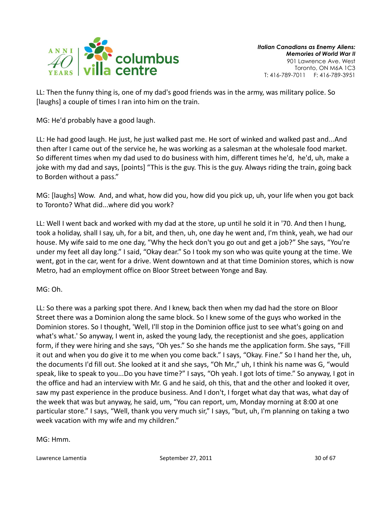

LL: Then the funny thing is, one of my dad's good friends was in the army, was military police. So [laughs] a couple of times I ran into him on the train.

MG: He'd probably have a good laugh.

LL: He had good laugh. He just, he just walked past me. He sort of winked and walked past and...And then after I came out of the service he, he was working as a salesman at the wholesale food market. So different times when my dad used to do business with him, different times he'd, he'd, uh, make a joke with my dad and says, [points] "This is the guy. This is the guy. Always riding the train, going back to Borden without a pass."

MG: [laughs] Wow. And, and what, how did you, how did you pick up, uh, your life when you got back to Toronto? What did...where did you work?

LL: Well I went back and worked with my dad at the store, up until he sold it in '70. And then I hung, took a holiday, shall I say, uh, for a bit, and then, uh, one day he went and, I'm think, yeah, we had our house. My wife said to me one day, "Why the heck don't you go out and get a job?" She says, "You're under my feet all day long." I said, "Okay dear." So I took my son who was quite young at the time. We went, got in the car, went for a drive. Went downtown and at that time Dominion stores, which is now Metro, had an employment office on Bloor Street between Yonge and Bay.

MG: Oh.

LL: So there was a parking spot there. And I knew, back then when my dad had the store on Bloor Street there was a Dominion along the same block. So I knew some of the guys who worked in the Dominion stores. So I thought, 'Well, I'll stop in the Dominion office just to see what's going on and what's what.' So anyway, I went in, asked the young lady, the receptionist and she goes, application form, if they were hiring and she says, "Oh yes." So she hands me the application form. She says, "Fill it out and when you do give it to me when you come back." I says, "Okay. Fine." So I hand her the, uh, the documents I'd fill out. She looked at it and she says, "Oh Mr.," uh, I think his name was G, "would speak, like to speak to you...Do you have time?" I says, "Oh yeah. I got lots of time." So anyway, I got in the office and had an interview with Mr. G and he said, oh this, that and the other and looked it over, saw my past experience in the produce business. And I don't, I forget what day that was, what day of the week that was but anyway, he said, um, "You can report, um, Monday morning at 8:00 at one particular store." I says, "Well, thank you very much sir," I says, "but, uh, I'm planning on taking a two week vacation with my wife and my children."

MG: Hmm.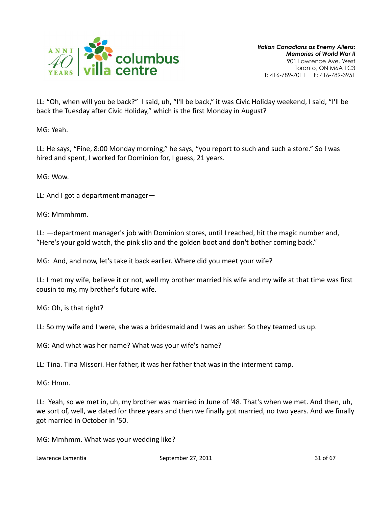

LL: "Oh, when will you be back?" I said, uh, "I'll be back," it was Civic Holiday weekend, I said, "I'll be back the Tuesday after Civic Holiday," which is the first Monday in August?

MG: Yeah.

LL: He says, "Fine, 8:00 Monday morning," he says, "you report to such and such a store." So I was hired and spent, I worked for Dominion for, I guess, 21 years.

MG: Wow.

LL: And I got a department manager—

MG: Mmmhmm.

LL: —department manager's job with Dominion stores, until I reached, hit the magic number and, "Here's your gold watch, the pink slip and the golden boot and don't bother coming back."

MG: And, and now, let's take it back earlier. Where did you meet your wife?

LL: I met my wife, believe it or not, well my brother married his wife and my wife at that time was first cousin to my, my brother's future wife.

MG: Oh, is that right?

LL: So my wife and I were, she was a bridesmaid and I was an usher. So they teamed us up.

MG: And what was her name? What was your wife's name?

LL: Tina. Tina Missori. Her father, it was her father that was in the interment camp.

MG: Hmm.

LL: Yeah, so we met in, uh, my brother was married in June of '48. That's when we met. And then, uh, we sort of, well, we dated for three years and then we finally got married, no two years. And we finally got married in October in '50.

MG: Mmhmm. What was your wedding like?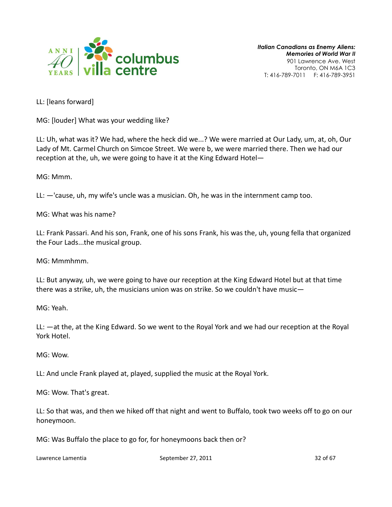

LL: [leans forward]

MG: [louder] What was your wedding like?

LL: Uh, what was it? We had, where the heck did we...? We were married at Our Lady, um, at, oh, Our Lady of Mt. Carmel Church on Simcoe Street. We were b, we were married there. Then we had our reception at the, uh, we were going to have it at the King Edward Hotel—

MG: Mmm.

LL: —'cause, uh, my wife's uncle was a musician. Oh, he was in the internment camp too.

MG: What was his name?

LL: Frank Passari. And his son, Frank, one of his sons Frank, his was the, uh, young fella that organized the Four Lads...the musical group.

MG: Mmmhmm.

LL: But anyway, uh, we were going to have our reception at the King Edward Hotel but at that time there was a strike, uh, the musicians union was on strike. So we couldn't have music—

MG: Yeah.

LL: —at the, at the King Edward. So we went to the Royal York and we had our reception at the Royal York Hotel.

MG: Wow.

LL: And uncle Frank played at, played, supplied the music at the Royal York.

MG: Wow. That's great.

LL: So that was, and then we hiked off that night and went to Buffalo, took two weeks off to go on our honeymoon.

MG: Was Buffalo the place to go for, for honeymoons back then or?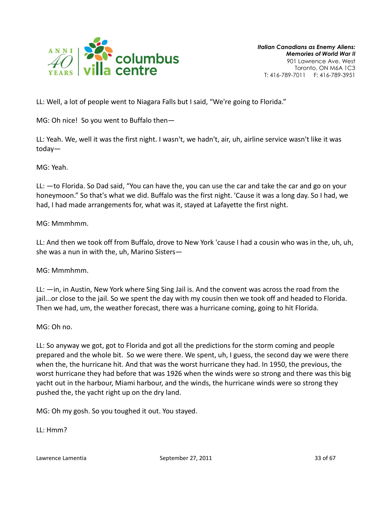

LL: Well, a lot of people went to Niagara Falls but I said, "We're going to Florida."

MG: Oh nice! So you went to Buffalo then—

LL: Yeah. We, well it was the first night. I wasn't, we hadn't, air, uh, airline service wasn't like it was today—

MG: Yeah.

LL: —to Florida. So Dad said, "You can have the, you can use the car and take the car and go on your honeymoon." So that's what we did. Buffalo was the first night. 'Cause it was a long day. So I had, we had, I had made arrangements for, what was it, stayed at Lafayette the first night.

MG: Mmmhmm.

LL: And then we took off from Buffalo, drove to New York 'cause I had a cousin who was in the, uh, uh, she was a nun in with the, uh, Marino Sisters—

MG: Mmmhmm.

LL: —in, in Austin, New York where Sing Sing Jail is. And the convent was across the road from the jail...or close to the jail. So we spent the day with my cousin then we took off and headed to Florida. Then we had, um, the weather forecast, there was a hurricane coming, going to hit Florida.

MG: Oh no.

LL: So anyway we got, got to Florida and got all the predictions for the storm coming and people prepared and the whole bit. So we were there. We spent, uh, I guess, the second day we were there when the, the hurricane hit. And that was the worst hurricane they had. In 1950, the previous, the worst hurricane they had before that was 1926 when the winds were so strong and there was this big yacht out in the harbour, Miami harbour, and the winds, the hurricane winds were so strong they pushed the, the yacht right up on the dry land.

MG: Oh my gosh. So you toughed it out. You stayed.

LL: Hmm?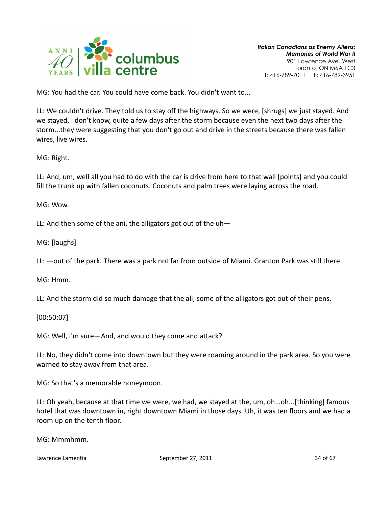

MG: You had the car. You could have come back. You didn't want to...

LL: We couldn't drive. They told us to stay off the highways. So we were, [shrugs] we just stayed. And we stayed, I don't know, quite a few days after the storm because even the next two days after the storm...they were suggesting that you don't go out and drive in the streets because there was fallen wires, live wires.

MG: Right.

LL: And, um, well all you had to do with the car is drive from here to that wall [points] and you could fill the trunk up with fallen coconuts. Coconuts and palm trees were laying across the road.

MG: Wow.

LL: And then some of the ani, the alligators got out of the uh—

MG: [laughs]

LL: —out of the park. There was a park not far from outside of Miami. Granton Park was still there.

MG: Hmm.

LL: And the storm did so much damage that the ali, some of the alligators got out of their pens.

[00:50:07]

MG: Well, I'm sure—And, and would they come and attack?

LL: No, they didn't come into downtown but they were roaming around in the park area. So you were warned to stay away from that area.

MG: So that's a memorable honeymoon.

LL: Oh yeah, because at that time we were, we had, we stayed at the, um, oh...oh...[thinking] famous hotel that was downtown in, right downtown Miami in those days. Uh, it was ten floors and we had a room up on the tenth floor.

MG: Mmmhmm.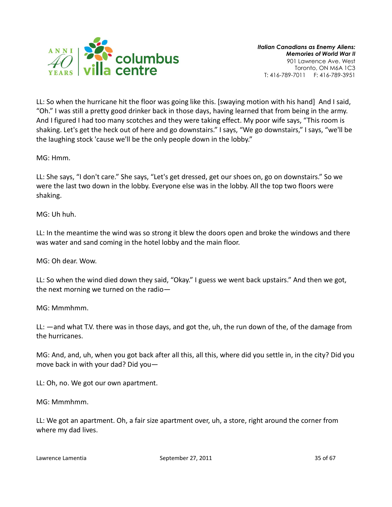

LL: So when the hurricane hit the floor was going like this. [swaying motion with his hand] And I said, "Oh." I was still a pretty good drinker back in those days, having learned that from being in the army. And I figured I had too many scotches and they were taking effect. My poor wife says, "This room is shaking. Let's get the heck out of here and go downstairs." I says, "We go downstairs," I says, "we'll be the laughing stock 'cause we'll be the only people down in the lobby."

MG: Hmm.

LL: She says, "I don't care." She says, "Let's get dressed, get our shoes on, go on downstairs." So we were the last two down in the lobby. Everyone else was in the lobby. All the top two floors were shaking.

MG: Uh huh.

LL: In the meantime the wind was so strong it blew the doors open and broke the windows and there was water and sand coming in the hotel lobby and the main floor.

MG: Oh dear. Wow.

LL: So when the wind died down they said, "Okay." I guess we went back upstairs." And then we got, the next morning we turned on the radio—

MG: Mmmhmm.

LL: —and what T.V. there was in those days, and got the, uh, the run down of the, of the damage from the hurricanes.

MG: And, and, uh, when you got back after all this, all this, where did you settle in, in the city? Did you move back in with your dad? Did you—

LL: Oh, no. We got our own apartment.

MG: Mmmhmm.

LL: We got an apartment. Oh, a fair size apartment over, uh, a store, right around the corner from where my dad lives.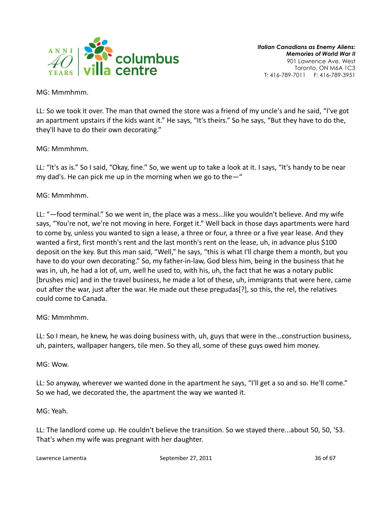

MG: Mmmhmm.

LL: So we took it over. The man that owned the store was a friend of my uncle's and he said, "I've got an apartment upstairs if the kids want it." He says, "It's theirs." So he says, "But they have to do the, they'll have to do their own decorating."

# MG: Mmmhmm.

LL: "It's as is." So I said, "Okay, fine." So, we went up to take a look at it. I says, "It's handy to be near my dad's. He can pick me up in the morning when we go to the—"

# MG: Mmmhmm.

LL: "—food terminal." So we went in, the place was a mess...like you wouldn't believe. And my wife says, "You're not, we're not moving in here. Forget it." Well back in those days apartments were hard to come by, unless you wanted to sign a lease, a three or four, a three or a five year lease. And they wanted a first, first month's rent and the last month's rent on the lease, uh, in advance plus \$100 deposit on the key. But this man said, "Well," he says, "this is what I'll charge them a month, but you have to do your own decorating." So, my father-in-law, God bless him, being in the business that he was in, uh, he had a lot of, um, well he used to, with his, uh, the fact that he was a notary public [brushes mic] and in the travel business, he made a lot of these, uh, immigrants that were here, came out after the war, just after the war. He made out these pregudas[?], so this, the rel, the relatives could come to Canada.

# MG: Mmmhmm.

LL: So I mean, he knew, he was doing business with, uh, guys that were in the...construction business, uh, painters, wallpaper hangers, tile men. So they all, some of these guys owed him money.

MG: Wow.

LL: So anyway, wherever we wanted done in the apartment he says, "I'll get a so and so. He'll come." So we had, we decorated the, the apartment the way we wanted it.

MG: Yeah.

LL: The landlord come up. He couldn't believe the transition. So we stayed there...about 50, 50, '53. That's when my wife was pregnant with her daughter.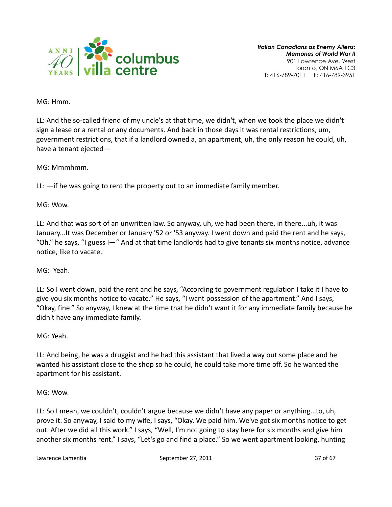

MG: Hmm.

LL: And the so-called friend of my uncle's at that time, we didn't, when we took the place we didn't sign a lease or a rental or any documents. And back in those days it was rental restrictions, um, government restrictions, that if a landlord owned a, an apartment, uh, the only reason he could, uh, have a tenant ejected—

MG: Mmmhmm.

LL: —if he was going to rent the property out to an immediate family member.

MG: Wow.

LL: And that was sort of an unwritten law. So anyway, uh, we had been there, in there...uh, it was January...It was December or January '52 or '53 anyway. I went down and paid the rent and he says, "Oh," he says, "I guess I—" And at that time landlords had to give tenants six months notice, advance notice, like to vacate.

MG: Yeah.

LL: So I went down, paid the rent and he says, "According to government regulation I take it I have to give you six months notice to vacate." He says, "I want possession of the apartment." And I says, "Okay, fine." So anyway, I knew at the time that he didn't want it for any immediate family because he didn't have any immediate family.

MG: Yeah.

LL: And being, he was a druggist and he had this assistant that lived a way out some place and he wanted his assistant close to the shop so he could, he could take more time off. So he wanted the apartment for his assistant.

MG: Wow.

LL: So I mean, we couldn't, couldn't argue because we didn't have any paper or anything...to, uh, prove it. So anyway, I said to my wife, I says, "Okay. We paid him. We've got six months notice to get out. After we did all this work." I says, "Well, I'm not going to stay here for six months and give him another six months rent." I says, "Let's go and find a place." So we went apartment looking, hunting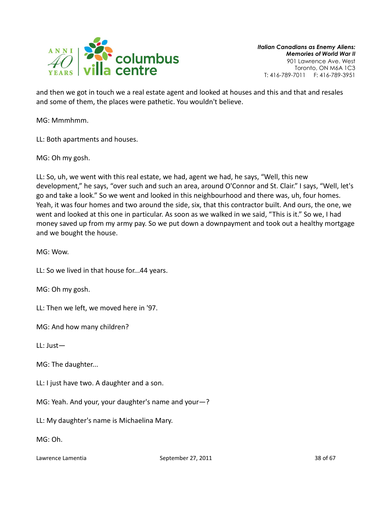

and then we got in touch we a real estate agent and looked at houses and this and that and resales and some of them, the places were pathetic. You wouldn't believe.

MG: Mmmhmm.

LL: Both apartments and houses.

MG: Oh my gosh.

LL: So, uh, we went with this real estate, we had, agent we had, he says, "Well, this new development," he says, "over such and such an area, around O'Connor and St. Clair." I says, "Well, let's go and take a look." So we went and looked in this neighbourhood and there was, uh, four homes. Yeah, it was four homes and two around the side, six, that this contractor built. And ours, the one, we went and looked at this one in particular. As soon as we walked in we said, "This is it." So we, I had money saved up from my army pay. So we put down a downpayment and took out a healthy mortgage and we bought the house.

MG: Wow.

LL: So we lived in that house for...44 years.

MG: Oh my gosh.

LL: Then we left, we moved here in '97.

MG: And how many children?

LL: Just—

MG: The daughter...

LL: I just have two. A daughter and a son.

MG: Yeah. And your, your daughter's name and your—?

LL: My daughter's name is Michaelina Mary.

MG: Oh.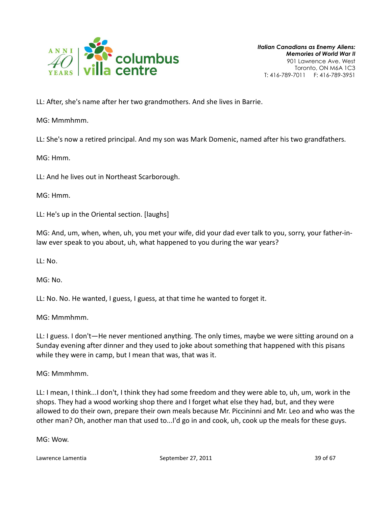

LL: After, she's name after her two grandmothers. And she lives in Barrie.

MG: Mmmhmm.

LL: She's now a retired principal. And my son was Mark Domenic, named after his two grandfathers.

MG: Hmm.

LL: And he lives out in Northeast Scarborough.

MG: Hmm.

LL: He's up in the Oriental section. [laughs]

MG: And, um, when, when, uh, you met your wife, did your dad ever talk to you, sorry, your father-inlaw ever speak to you about, uh, what happened to you during the war years?

LL: No.

MG: No.

LL: No. No. He wanted, I guess, I guess, at that time he wanted to forget it.

MG: Mmmhmm.

LL: I guess. I don't—He never mentioned anything. The only times, maybe we were sitting around on a Sunday evening after dinner and they used to joke about something that happened with this pisans while they were in camp, but I mean that was, that was it.

MG: Mmmhmm.

LL: I mean, I think...I don't, I think they had some freedom and they were able to, uh, um, work in the shops. They had a wood working shop there and I forget what else they had, but, and they were allowed to do their own, prepare their own meals because Mr. Piccininni and Mr. Leo and who was the other man? Oh, another man that used to...I'd go in and cook, uh, cook up the meals for these guys.

MG: Wow.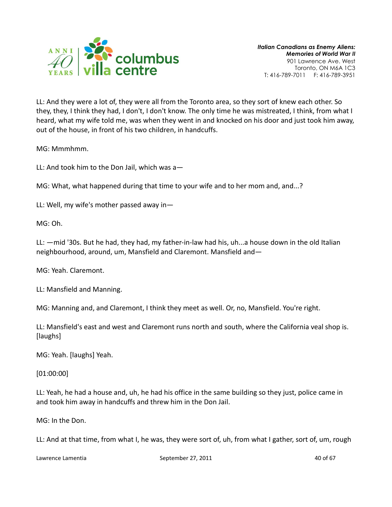

LL: And they were a lot of, they were all from the Toronto area, so they sort of knew each other. So they, they, I think they had, I don't, I don't know. The only time he was mistreated, I think, from what I heard, what my wife told me, was when they went in and knocked on his door and just took him away, out of the house, in front of his two children, in handcuffs.

MG: Mmmhmm.

LL: And took him to the Don Jail, which was a—

MG: What, what happened during that time to your wife and to her mom and, and...?

LL: Well, my wife's mother passed away in—

MG: Oh.

LL: —mid '30s. But he had, they had, my father-in-law had his, uh...a house down in the old Italian neighbourhood, around, um, Mansfield and Claremont. Mansfield and—

MG: Yeah. Claremont.

LL: Mansfield and Manning.

MG: Manning and, and Claremont, I think they meet as well. Or, no, Mansfield. You're right.

LL: Mansfield's east and west and Claremont runs north and south, where the California veal shop is. [laughs]

MG: Yeah. [laughs] Yeah.

[01:00:00]

LL: Yeah, he had a house and, uh, he had his office in the same building so they just, police came in and took him away in handcuffs and threw him in the Don Jail.

MG: In the Don.

LL: And at that time, from what I, he was, they were sort of, uh, from what I gather, sort of, um, rough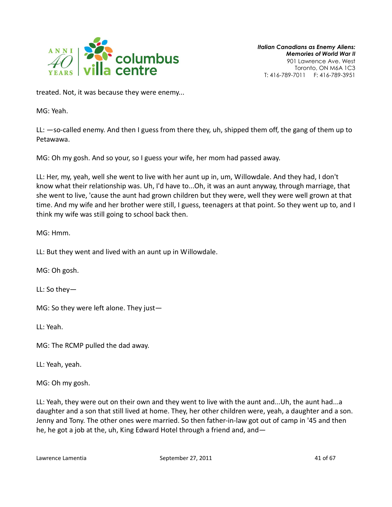

treated. Not, it was because they were enemy...

MG: Yeah.

LL: —so-called enemy. And then I guess from there they, uh, shipped them off, the gang of them up to Petawawa.

MG: Oh my gosh. And so your, so I guess your wife, her mom had passed away.

LL: Her, my, yeah, well she went to live with her aunt up in, um, Willowdale. And they had, I don't know what their relationship was. Uh, I'd have to...Oh, it was an aunt anyway, through marriage, that she went to live, 'cause the aunt had grown children but they were, well they were well grown at that time. And my wife and her brother were still, I guess, teenagers at that point. So they went up to, and I think my wife was still going to school back then.

MG: Hmm.

LL: But they went and lived with an aunt up in Willowdale.

MG: Oh gosh.

LL: So they—

MG: So they were left alone. They just—

LL: Yeah.

MG: The RCMP pulled the dad away.

LL: Yeah, yeah.

MG: Oh my gosh.

LL: Yeah, they were out on their own and they went to live with the aunt and...Uh, the aunt had...a daughter and a son that still lived at home. They, her other children were, yeah, a daughter and a son. Jenny and Tony. The other ones were married. So then father-in-law got out of camp in '45 and then he, he got a job at the, uh, King Edward Hotel through a friend and, and—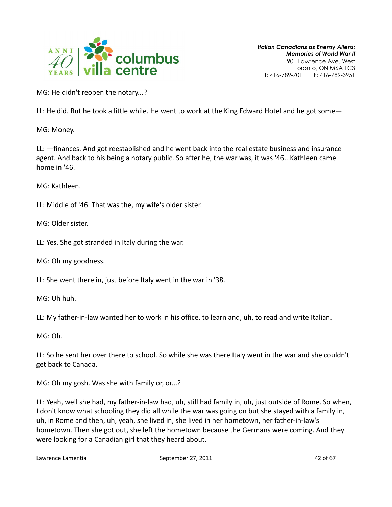

MG: He didn't reopen the notary...?

LL: He did. But he took a little while. He went to work at the King Edward Hotel and he got some—

MG: Money.

LL: —finances. And got reestablished and he went back into the real estate business and insurance agent. And back to his being a notary public. So after he, the war was, it was '46...Kathleen came home in '46.

MG: Kathleen.

LL: Middle of '46. That was the, my wife's older sister.

MG: Older sister.

LL: Yes. She got stranded in Italy during the war.

MG: Oh my goodness.

LL: She went there in, just before Italy went in the war in '38.

MG: Uh huh.

LL: My father-in-law wanted her to work in his office, to learn and, uh, to read and write Italian.

MG: Oh.

LL: So he sent her over there to school. So while she was there Italy went in the war and she couldn't get back to Canada.

MG: Oh my gosh. Was she with family or, or...?

LL: Yeah, well she had, my father-in-law had, uh, still had family in, uh, just outside of Rome. So when, I don't know what schooling they did all while the war was going on but she stayed with a family in, uh, in Rome and then, uh, yeah, she lived in, she lived in her hometown, her father-in-law's hometown. Then she got out, she left the hometown because the Germans were coming. And they were looking for a Canadian girl that they heard about.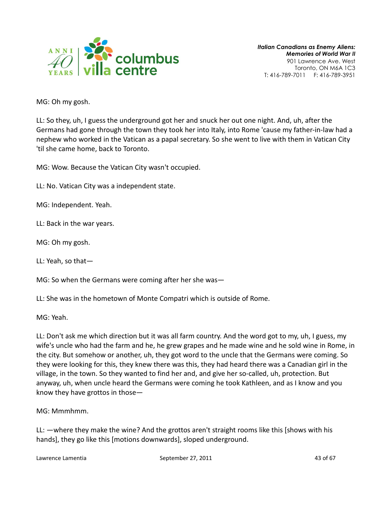

MG: Oh my gosh.

LL: So they, uh, I guess the underground got her and snuck her out one night. And, uh, after the Germans had gone through the town they took her into Italy, into Rome 'cause my father-in-law had a nephew who worked in the Vatican as a papal secretary. So she went to live with them in Vatican City 'til she came home, back to Toronto.

MG: Wow. Because the Vatican City wasn't occupied.

LL: No. Vatican City was a independent state.

MG: Independent. Yeah.

LL: Back in the war years.

MG: Oh my gosh.

LL: Yeah, so that—

MG: So when the Germans were coming after her she was—

LL: She was in the hometown of Monte Compatri which is outside of Rome.

MG: Yeah.

LL: Don't ask me which direction but it was all farm country. And the word got to my, uh, I guess, my wife's uncle who had the farm and he, he grew grapes and he made wine and he sold wine in Rome, in the city. But somehow or another, uh, they got word to the uncle that the Germans were coming. So they were looking for this, they knew there was this, they had heard there was a Canadian girl in the village, in the town. So they wanted to find her and, and give her so-called, uh, protection. But anyway, uh, when uncle heard the Germans were coming he took Kathleen, and as I know and you know they have grottos in those—

MG: Mmmhmm.

LL: —where they make the wine? And the grottos aren't straight rooms like this [shows with his hands], they go like this [motions downwards], sloped underground.

Lawrence Lamentia **September 27, 2011 All 2018 Contract 27, 2011** 43 of 67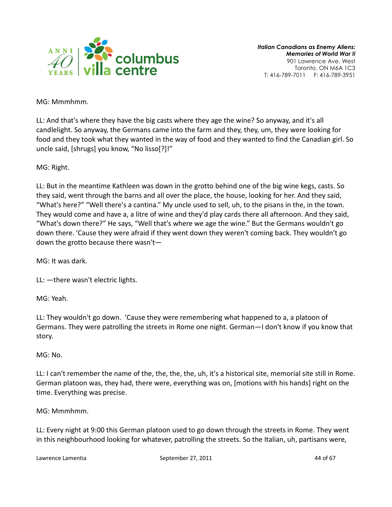

MG: Mmmhmm.

LL: And that's where they have the big casts where they age the wine? So anyway, and it's all candlelight. So anyway, the Germans came into the farm and they, they, um, they were looking for food and they took what they wanted in the way of food and they wanted to find the Canadian girl. So uncle said, [shrugs] you know, "No lisso[?]!"

MG: Right.

LL: But in the meantime Kathleen was down in the grotto behind one of the big wine kegs, casts. So they said, went through the barns and all over the place, the house, looking for her. And they said, "What's here?" "Well there's a cantina." My uncle used to sell, uh, to the pisans in the, in the town. They would come and have a, a litre of wine and they'd play cards there all afternoon. And they said, "What's down there?" He says, "Well that's where we age the wine." But the Germans wouldn't go down there. 'Cause they were afraid if they went down they weren't coming back. They wouldn't go down the grotto because there wasn't—

MG: It was dark.

LL: —there wasn't electric lights.

MG: Yeah.

LL: They wouldn't go down. 'Cause they were remembering what happened to a, a platoon of Germans. They were patrolling the streets in Rome one night. German—I don't know if you know that story.

# MG: No.

LL: I can't remember the name of the, the, the, the, uh, it's a historical site, memorial site still in Rome. German platoon was, they had, there were, everything was on, [motions with his hands] right on the time. Everything was precise.

MG: Mmmhmm.

LL: Every night at 9:00 this German platoon used to go down through the streets in Rome. They went in this neighbourhood looking for whatever, patrolling the streets. So the Italian, uh, partisans were,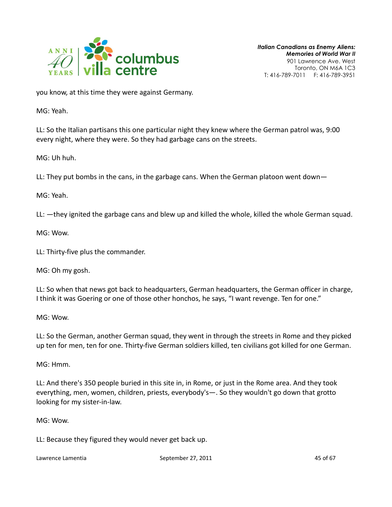

you know, at this time they were against Germany.

MG: Yeah.

LL: So the Italian partisans this one particular night they knew where the German patrol was, 9:00 every night, where they were. So they had garbage cans on the streets.

MG: Uh huh.

LL: They put bombs in the cans, in the garbage cans. When the German platoon went down—

MG: Yeah.

LL: —they ignited the garbage cans and blew up and killed the whole, killed the whole German squad.

MG: Wow.

LL: Thirty-five plus the commander.

MG: Oh my gosh.

LL: So when that news got back to headquarters, German headquarters, the German officer in charge, I think it was Goering or one of those other honchos, he says, "I want revenge. Ten for one."

MG: Wow.

LL: So the German, another German squad, they went in through the streets in Rome and they picked up ten for men, ten for one. Thirty-five German soldiers killed, ten civilians got killed for one German.

MG: Hmm.

LL: And there's 350 people buried in this site in, in Rome, or just in the Rome area. And they took everything, men, women, children, priests, everybody's—. So they wouldn't go down that grotto looking for my sister-in-law.

MG: Wow.

LL: Because they figured they would never get back up.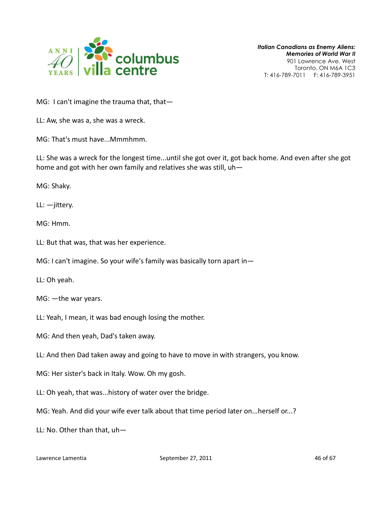

MG: I can't imagine the trauma that, that-

LL: Aw, she was a, she was a wreck.

MG: That's must have...Mmmhmm.

LL: She was a wreck for the longest time...until she got over it, got back home. And even after she got home and got with her own family and relatives she was still, uh—

MG: Shaky.

 $LL:$   $-i$ ittery.

MG: Hmm.

LL: But that was, that was her experience.

MG: I can't imagine. So your wife's family was basically torn apart in—

LL: Oh yeah.

MG: —the war years.

LL: Yeah, I mean, it was bad enough losing the mother.

MG: And then yeah, Dad's taken away.

LL: And then Dad taken away and going to have to move in with strangers, you know.

MG: Her sister's back in Italy. Wow. Oh my gosh.

LL: Oh yeah, that was...history of water over the bridge.

MG: Yeah. And did your wife ever talk about that time period later on...herself or...?

LL: No. Other than that, uh—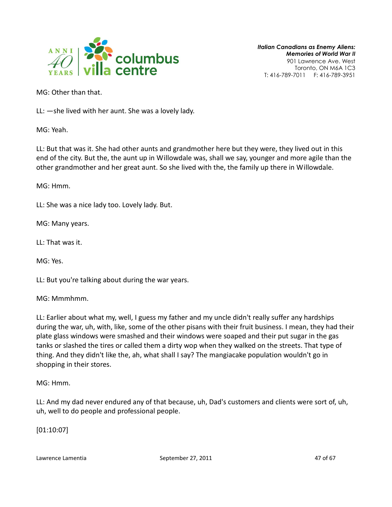

MG: Other than that.

LL: —she lived with her aunt. She was a lovely lady.

MG: Yeah.

LL: But that was it. She had other aunts and grandmother here but they were, they lived out in this end of the city. But the, the aunt up in Willowdale was, shall we say, younger and more agile than the other grandmother and her great aunt. So she lived with the, the family up there in Willowdale.

MG: Hmm.

LL: She was a nice lady too. Lovely lady. But.

MG: Many years.

LL: That was it.

MG: Yes.

LL: But you're talking about during the war years.

MG: Mmmhmm.

LL: Earlier about what my, well, I guess my father and my uncle didn't really suffer any hardships during the war, uh, with, like, some of the other pisans with their fruit business. I mean, they had their plate glass windows were smashed and their windows were soaped and their put sugar in the gas tanks or slashed the tires or called them a dirty wop when they walked on the streets. That type of thing. And they didn't like the, ah, what shall I say? The mangiacake population wouldn't go in shopping in their stores.

MG: Hmm.

LL: And my dad never endured any of that because, uh, Dad's customers and clients were sort of, uh, uh, well to do people and professional people.

[01:10:07]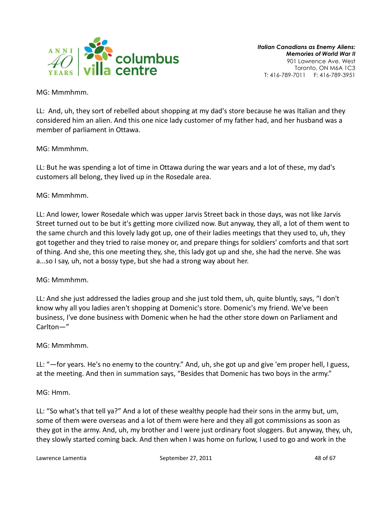

MG: Mmmhmm.

LL: And, uh, they sort of rebelled about shopping at my dad's store because he was Italian and they considered him an alien. And this one nice lady customer of my father had, and her husband was a member of parliament in Ottawa.

# MG: Mmmhmm.

LL: But he was spending a lot of time in Ottawa during the war years and a lot of these, my dad's customers all belong, they lived up in the Rosedale area.

# MG: Mmmhmm.

LL: And lower, lower Rosedale which was upper Jarvis Street back in those days, was not like Jarvis Street turned out to be but it's getting more civilized now. But anyway, they all, a lot of them went to the same church and this lovely lady got up, one of their ladies meetings that they used to, uh, they got together and they tried to raise money or, and prepare things for soldiers' comforts and that sort of thing. And she, this one meeting they, she, this lady got up and she, she had the nerve. She was a...so I say, uh, not a bossy type, but she had a strong way about her.

# MG: Mmmhmm.

LL: And she just addressed the ladies group and she just told them, uh, quite bluntly, says, "I don't know why all you ladies aren't shopping at Domenic's store. Domenic's my friend. We've been business, I've done business with Domenic when he had the other store down on Parliament and Carlton—"

#### MG: Mmmhmm.

LL: "—for years. He's no enemy to the country." And, uh, she got up and give 'em proper hell, I guess, at the meeting. And then in summation says, "Besides that Domenic has two boys in the army."

MG: Hmm.

LL: "So what's that tell ya?" And a lot of these wealthy people had their sons in the army but, um, some of them were overseas and a lot of them were here and they all got commissions as soon as they got in the army. And, uh, my brother and I were just ordinary foot sloggers. But anyway, they, uh, they slowly started coming back. And then when I was home on furlow, I used to go and work in the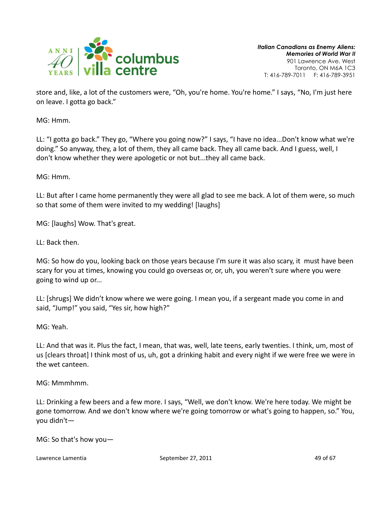

store and, like, a lot of the customers were, "Oh, you're home. You're home." I says, "No, I'm just here on leave. I gotta go back."

MG: Hmm.

LL: "I gotta go back." They go, "Where you going now?" I says, "I have no idea...Don't know what we're doing." So anyway, they, a lot of them, they all came back. They all came back. And I guess, well, I don't know whether they were apologetic or not but...they all came back.

MG: Hmm.

LL: But after I came home permanently they were all glad to see me back. A lot of them were, so much so that some of them were invited to my wedding! [laughs]

MG: [laughs] Wow. That's great.

LL: Back then.

MG: So how do you, looking back on those years because I'm sure it was also scary, it must have been scary for you at times, knowing you could go overseas or, or, uh, you weren't sure where you were going to wind up or...

LL: [shrugs] We didn't know where we were going. I mean you, if a sergeant made you come in and said, "Jump!" you said, "Yes sir, how high?"

MG: Yeah.

LL: And that was it. Plus the fact, I mean, that was, well, late teens, early twenties. I think, um, most of us [clears throat] I think most of us, uh, got a drinking habit and every night if we were free we were in the wet canteen.

MG: Mmmhmm.

LL: Drinking a few beers and a few more. I says, "Well, we don't know. We're here today. We might be gone tomorrow. And we don't know where we're going tomorrow or what's going to happen, so." You, you didn't—

MG: So that's how you—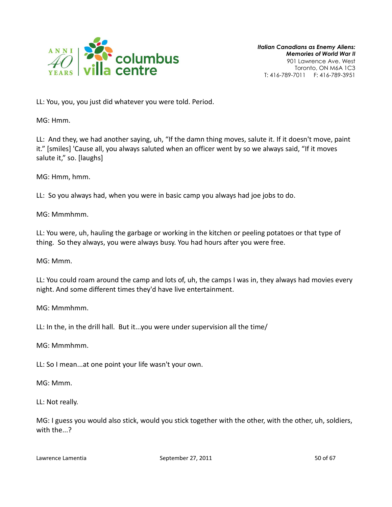

LL: You, you, you just did whatever you were told. Period.

MG: Hmm.

LL: And they, we had another saying, uh, "If the damn thing moves, salute it. If it doesn't move, paint it." [smiles] 'Cause all, you always saluted when an officer went by so we always said, "If it moves salute it," so. [laughs]

MG: Hmm, hmm.

LL: So you always had, when you were in basic camp you always had joe jobs to do.

MG: Mmmhmm.

LL: You were, uh, hauling the garbage or working in the kitchen or peeling potatoes or that type of thing. So they always, you were always busy. You had hours after you were free.

MG: Mmm.

LL: You could roam around the camp and lots of, uh, the camps I was in, they always had movies every night. And some different times they'd have live entertainment.

MG: Mmmhmm.

LL: In the, in the drill hall. But it...you were under supervision all the time/

MG: Mmmhmm.

LL: So I mean...at one point your life wasn't your own.

MG: Mmm.

LL: Not really.

MG: I guess you would also stick, would you stick together with the other, with the other, uh, soldiers, with the...?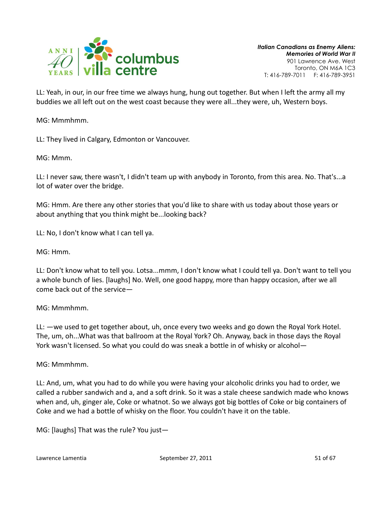

LL: Yeah, in our, in our free time we always hung, hung out together. But when I left the army all my buddies we all left out on the west coast because they were all...they were, uh, Western boys.

MG: Mmmhmm.

LL: They lived in Calgary, Edmonton or Vancouver.

MG: Mmm.

LL: I never saw, there wasn't, I didn't team up with anybody in Toronto, from this area. No. That's...a lot of water over the bridge.

MG: Hmm. Are there any other stories that you'd like to share with us today about those years or about anything that you think might be...looking back?

LL: No, I don't know what I can tell ya.

MG: Hmm.

LL: Don't know what to tell you. Lotsa...mmm, I don't know what I could tell ya. Don't want to tell you a whole bunch of lies. [laughs] No. Well, one good happy, more than happy occasion, after we all come back out of the service—

MG: Mmmhmm.

LL: —we used to get together about, uh, once every two weeks and go down the Royal York Hotel. The, um, oh...What was that ballroom at the Royal York? Oh. Anyway, back in those days the Royal York wasn't licensed. So what you could do was sneak a bottle in of whisky or alcohol—

MG: Mmmhmm.

LL: And, um, what you had to do while you were having your alcoholic drinks you had to order, we called a rubber sandwich and a, and a soft drink. So it was a stale cheese sandwich made who knows when and, uh, ginger ale, Coke or whatnot. So we always got big bottles of Coke or big containers of Coke and we had a bottle of whisky on the floor. You couldn't have it on the table.

MG: [laughs] That was the rule? You just—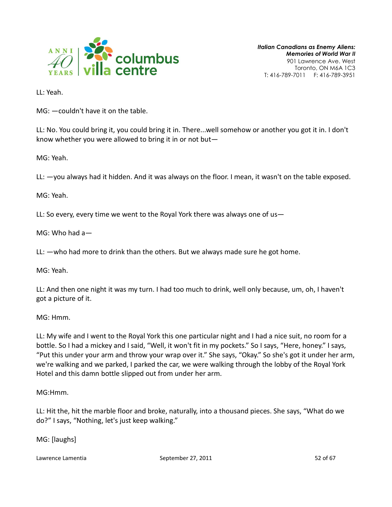

LL: Yeah.

MG: —couldn't have it on the table.

LL: No. You could bring it, you could bring it in. There...well somehow or another you got it in. I don't know whether you were allowed to bring it in or not but—

MG: Yeah.

LL: —you always had it hidden. And it was always on the floor. I mean, it wasn't on the table exposed.

MG: Yeah.

LL: So every, every time we went to the Royal York there was always one of us—

MG: Who had a—

LL: —who had more to drink than the others. But we always made sure he got home.

MG: Yeah.

LL: And then one night it was my turn. I had too much to drink, well only because, um, oh, I haven't got a picture of it.

MG: Hmm.

LL: My wife and I went to the Royal York this one particular night and I had a nice suit, no room for a bottle. So I had a mickey and I said, "Well, it won't fit in my pockets." So I says, "Here, honey." I says, "Put this under your arm and throw your wrap over it." She says, "Okay." So she's got it under her arm, we're walking and we parked, I parked the car, we were walking through the lobby of the Royal York Hotel and this damn bottle slipped out from under her arm.

MG:Hmm.

LL: Hit the, hit the marble floor and broke, naturally, into a thousand pieces. She says, "What do we do?" I says, "Nothing, let's just keep walking."

MG: [laughs]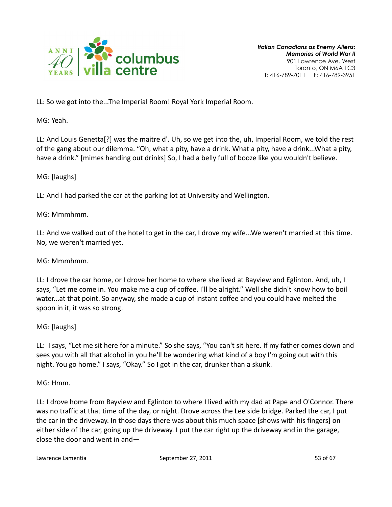

LL: So we got into the...The Imperial Room! Royal York Imperial Room.

MG: Yeah.

LL: And Louis Genetta[?] was the maitre d'. Uh, so we get into the, uh, Imperial Room, we told the rest of the gang about our dilemma. "Oh, what a pity, have a drink. What a pity, have a drink...What a pity, have a drink." [mimes handing out drinks] So, I had a belly full of booze like you wouldn't believe.

MG: [laughs]

LL: And I had parked the car at the parking lot at University and Wellington.

MG: Mmmhmm.

LL: And we walked out of the hotel to get in the car, I drove my wife...We weren't married at this time. No, we weren't married yet.

MG: Mmmhmm.

LL: I drove the car home, or I drove her home to where she lived at Bayview and Eglinton. And, uh, I says, "Let me come in. You make me a cup of coffee. I'll be alright." Well she didn't know how to boil water...at that point. So anyway, she made a cup of instant coffee and you could have melted the spoon in it, it was so strong.

MG: [laughs]

LL: I says, "Let me sit here for a minute." So she says, "You can't sit here. If my father comes down and sees you with all that alcohol in you he'll be wondering what kind of a boy I'm going out with this night. You go home." I says, "Okay." So I got in the car, drunker than a skunk.

MG: Hmm.

LL: I drove home from Bayview and Eglinton to where I lived with my dad at Pape and O'Connor. There was no traffic at that time of the day, or night. Drove across the Lee side bridge. Parked the car, I put the car in the driveway. In those days there was about this much space [shows with his fingers] on either side of the car, going up the driveway. I put the car right up the driveway and in the garage, close the door and went in and—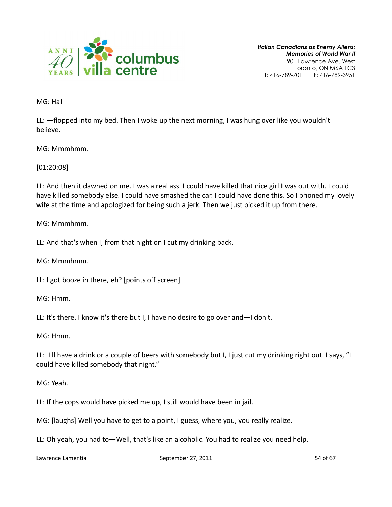

MG: Ha!

LL: —flopped into my bed. Then I woke up the next morning, I was hung over like you wouldn't believe.

MG: Mmmhmm.

[01:20:08]

LL: And then it dawned on me. I was a real ass. I could have killed that nice girl I was out with. I could have killed somebody else. I could have smashed the car. I could have done this. So I phoned my lovely wife at the time and apologized for being such a jerk. Then we just picked it up from there.

MG: Mmmhmm.

LL: And that's when I, from that night on I cut my drinking back.

MG: Mmmhmm.

LL: I got booze in there, eh? [points off screen]

MG: Hmm.

LL: It's there. I know it's there but I, I have no desire to go over and—I don't.

MG: Hmm.

LL: I'll have a drink or a couple of beers with somebody but I, I just cut my drinking right out. I says, "I could have killed somebody that night."

MG: Yeah.

LL: If the cops would have picked me up, I still would have been in jail.

MG: [laughs] Well you have to get to a point, I guess, where you, you really realize.

LL: Oh yeah, you had to—Well, that's like an alcoholic. You had to realize you need help.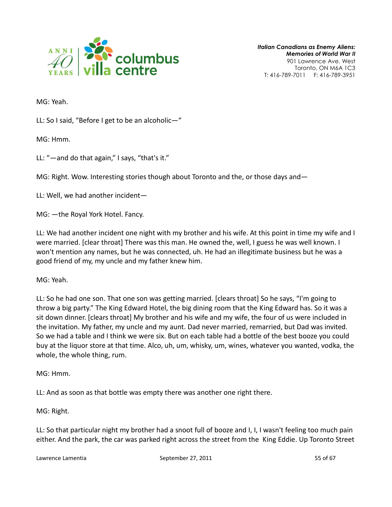

MG: Yeah.

LL: So I said, "Before I get to be an alcoholic—"

MG: Hmm.

LL: "—and do that again," I says, "that's it."

MG: Right. Wow. Interesting stories though about Toronto and the, or those days and—

LL: Well, we had another incident—

MG: —the Royal York Hotel. Fancy.

LL: We had another incident one night with my brother and his wife. At this point in time my wife and I were married. [clear throat] There was this man. He owned the, well, I guess he was well known. I won't mention any names, but he was connected, uh. He had an illegitimate business but he was a good friend of my, my uncle and my father knew him.

MG: Yeah.

LL: So he had one son. That one son was getting married. [clears throat] So he says, "I'm going to throw a big party." The King Edward Hotel, the big dining room that the King Edward has. So it was a sit down dinner. [clears throat] My brother and his wife and my wife, the four of us were included in the invitation. My father, my uncle and my aunt. Dad never married, remarried, but Dad was invited. So we had a table and I think we were six. But on each table had a bottle of the best booze you could buy at the liquor store at that time. Alco, uh, um, whisky, um, wines, whatever you wanted, vodka, the whole, the whole thing, rum.

MG: Hmm.

LL: And as soon as that bottle was empty there was another one right there.

MG: Right.

LL: So that particular night my brother had a snoot full of booze and I, I, I wasn't feeling too much pain either. And the park, the car was parked right across the street from the King Eddie. Up Toronto Street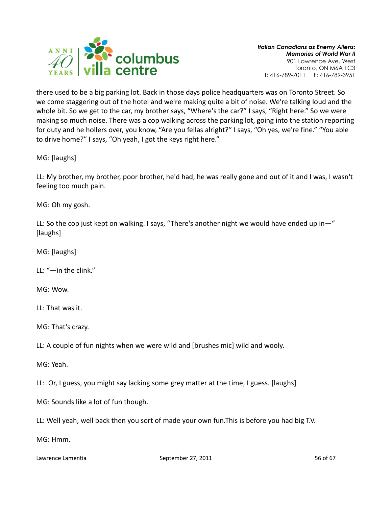

there used to be a big parking lot. Back in those days police headquarters was on Toronto Street. So we come staggering out of the hotel and we're making quite a bit of noise. We're talking loud and the whole bit. So we get to the car, my brother says, "Where's the car?" I says, "Right here." So we were making so much noise. There was a cop walking across the parking lot, going into the station reporting for duty and he hollers over, you know, "Are you fellas alright?" I says, "Oh yes, we're fine." "You able to drive home?" I says, "Oh yeah, I got the keys right here."

MG: [laughs]

LL: My brother, my brother, poor brother, he'd had, he was really gone and out of it and I was, I wasn't feeling too much pain.

MG: Oh my gosh.

LL: So the cop just kept on walking. I says, "There's another night we would have ended up in—" [laughs]

MG: [laughs]

LL: "—in the clink."

MG: Wow.

LL: That was it.

MG: That's crazy.

LL: A couple of fun nights when we were wild and [brushes mic] wild and wooly.

MG: Yeah.

LL: Or, I guess, you might say lacking some grey matter at the time, I guess. [laughs]

MG: Sounds like a lot of fun though.

LL: Well yeah, well back then you sort of made your own fun.This is before you had big T.V.

MG: Hmm.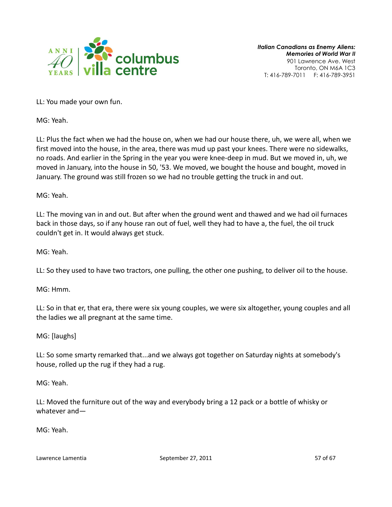

LL: You made your own fun.

MG: Yeah.

LL: Plus the fact when we had the house on, when we had our house there, uh, we were all, when we first moved into the house, in the area, there was mud up past your knees. There were no sidewalks, no roads. And earlier in the Spring in the year you were knee-deep in mud. But we moved in, uh, we moved in January, into the house in 50, '53. We moved, we bought the house and bought, moved in January. The ground was still frozen so we had no trouble getting the truck in and out.

MG: Yeah.

LL: The moving van in and out. But after when the ground went and thawed and we had oil furnaces back in those days, so if any house ran out of fuel, well they had to have a, the fuel, the oil truck couldn't get in. It would always get stuck.

MG: Yeah.

LL: So they used to have two tractors, one pulling, the other one pushing, to deliver oil to the house.

MG: Hmm.

LL: So in that er, that era, there were six young couples, we were six altogether, young couples and all the ladies we all pregnant at the same time.

MG: [laughs]

LL: So some smarty remarked that...and we always got together on Saturday nights at somebody's house, rolled up the rug if they had a rug.

MG: Yeah.

LL: Moved the furniture out of the way and everybody bring a 12 pack or a bottle of whisky or whatever and—

MG: Yeah.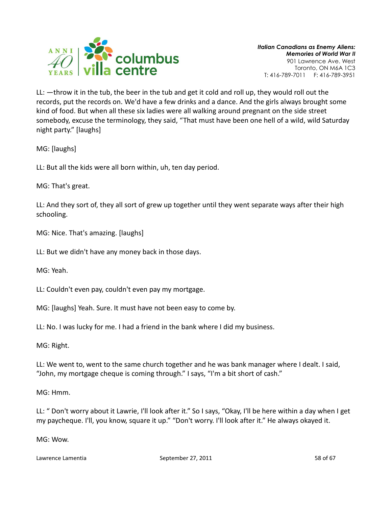

LL: —throw it in the tub, the beer in the tub and get it cold and roll up, they would roll out the records, put the records on. We'd have a few drinks and a dance. And the girls always brought some kind of food. But when all these six ladies were all walking around pregnant on the side street somebody, excuse the terminology, they said, "That must have been one hell of a wild, wild Saturday night party." [laughs]

MG: [laughs]

LL: But all the kids were all born within, uh, ten day period.

MG: That's great.

LL: And they sort of, they all sort of grew up together until they went separate ways after their high schooling.

MG: Nice. That's amazing. [laughs]

LL: But we didn't have any money back in those days.

MG: Yeah.

LL: Couldn't even pay, couldn't even pay my mortgage.

MG: [laughs] Yeah. Sure. It must have not been easy to come by.

LL: No. I was lucky for me. I had a friend in the bank where I did my business.

MG: Right.

LL: We went to, went to the same church together and he was bank manager where I dealt. I said, "John, my mortgage cheque is coming through." I says, "I'm a bit short of cash."

MG: Hmm.

LL: " Don't worry about it Lawrie, I'll look after it." So I says, "Okay, I'll be here within a day when I get my paycheque. I'll, you know, square it up." "Don't worry. I'll look after it." He always okayed it.

MG: Wow.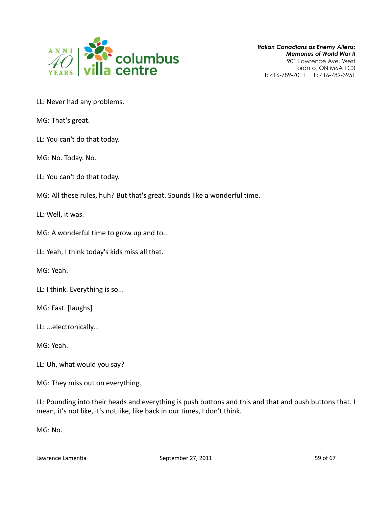

- LL: Never had any problems.
- MG: That's great.
- LL: You can't do that today.
- MG: No. Today. No.
- LL: You can't do that today.
- MG: All these rules, huh? But that's great. Sounds like a wonderful time.

LL: Well, it was.

- MG: A wonderful time to grow up and to...
- LL: Yeah, I think today's kids miss all that.
- MG: Yeah.
- LL: I think. Everything is so...
- MG: Fast. [laughs]
- LL: ...electronically...
- MG: Yeah.
- LL: Uh, what would you say?
- MG: They miss out on everything.

LL: Pounding into their heads and everything is push buttons and this and that and push buttons that. I mean, it's not like, it's not like, like back in our times, I don't think.

MG: No.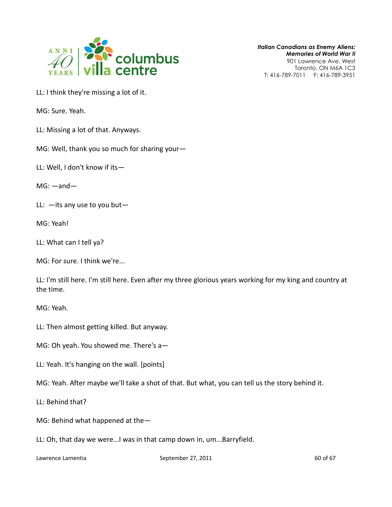

Italian Canadians as Enemy Aliens: Memories of World War II 901 Lawrence Ave. West

Toronto, ON M6A 1C3 T: 416-789-7011 F: 416-789-3951

LL: I think they're missing a lot of it.

MG: Sure. Yeah.

LL: Missing a lot of that. Anyways.

MG: Well, thank you so much for sharing your—

LL: Well, I don't know if its—

MG: —and—

LL:  $-$ its any use to you but-

MG: Yeah!

- LL: What can I tell ya?
- MG: For sure. I think we're...

LL: I'm still here. I'm still here. Even after my three glorious years working for my king and country at the time.

MG: Yeah.

- LL: Then almost getting killed. But anyway.
- MG: Oh yeah. You showed me. There's a—
- LL: Yeah. It's hanging on the wall. [points]
- MG: Yeah. After maybe we'll take a shot of that. But what, you can tell us the story behind it.
- LL: Behind that?
- MG: Behind what happened at the—
- LL: Oh, that day we were...I was in that camp down in, um...Barryfield.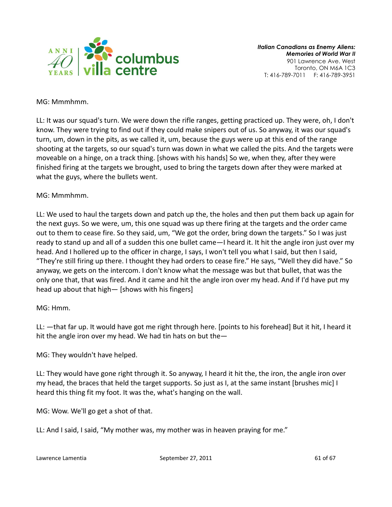

#### MG: Mmmhmm.

LL: It was our squad's turn. We were down the rifle ranges, getting practiced up. They were, oh, I don't know. They were trying to find out if they could make snipers out of us. So anyway, it was our squad's turn, um, down in the pits, as we called it, um, because the guys were up at this end of the range shooting at the targets, so our squad's turn was down in what we called the pits. And the targets were moveable on a hinge, on a track thing. [shows with his hands] So we, when they, after they were finished firing at the targets we brought, used to bring the targets down after they were marked at what the guys, where the bullets went.

# MG: Mmmhmm.

LL: We used to haul the targets down and patch up the, the holes and then put them back up again for the next guys. So we were, um, this one squad was up there firing at the targets and the order came out to them to cease fire. So they said, um, "We got the order, bring down the targets." So I was just ready to stand up and all of a sudden this one bullet came—I heard it. It hit the angle iron just over my head. And I hollered up to the officer in charge, I says, I won't tell you what I said, but then I said, "They're still firing up there. I thought they had orders to cease fire." He says, "Well they did have." So anyway, we gets on the intercom. I don't know what the message was but that bullet, that was the only one that, that was fired. And it came and hit the angle iron over my head. And if I'd have put my head up about that high— [shows with his fingers]

# MG: Hmm.

LL: —that far up. It would have got me right through here. [points to his forehead] But it hit, I heard it hit the angle iron over my head. We had tin hats on but the—

MG: They wouldn't have helped.

LL: They would have gone right through it. So anyway, I heard it hit the, the iron, the angle iron over my head, the braces that held the target supports. So just as I, at the same instant [brushes mic] I heard this thing fit my foot. It was the, what's hanging on the wall.

MG: Wow. We'll go get a shot of that.

LL: And I said, I said, "My mother was, my mother was in heaven praying for me."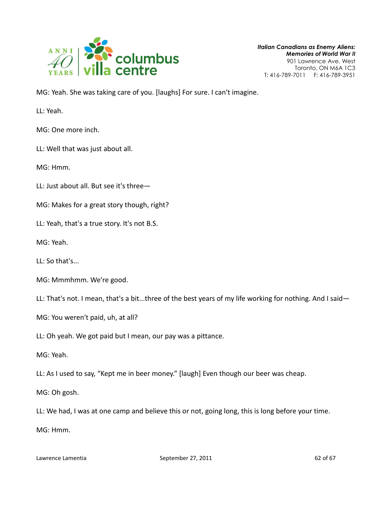

MG: Yeah. She was taking care of you. [laughs] For sure. I can't imagine.

LL: Yeah.

MG: One more inch.

LL: Well that was just about all.

MG: Hmm.

LL: Just about all. But see it's three—

MG: Makes for a great story though, right?

LL: Yeah, that's a true story. It's not B.S.

MG: Yeah.

LL: So that's...

MG: Mmmhmm. We're good.

LL: That's not. I mean, that's a bit...three of the best years of my life working for nothing. And I said—

MG: You weren't paid, uh, at all?

LL: Oh yeah. We got paid but I mean, our pay was a pittance.

MG: Yeah.

LL: As I used to say, "Kept me in beer money." [laugh] Even though our beer was cheap.

MG: Oh gosh.

LL: We had, I was at one camp and believe this or not, going long, this is long before your time.

MG: Hmm.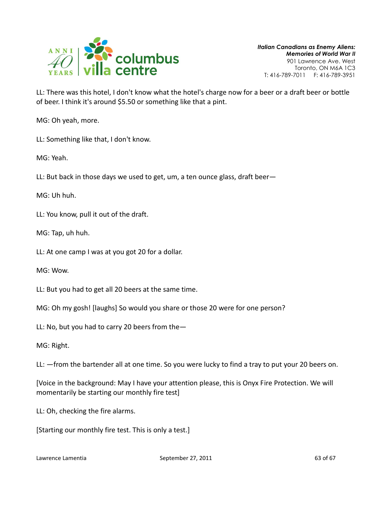

LL: There was this hotel, I don't know what the hotel's charge now for a beer or a draft beer or bottle of beer. I think it's around \$5.50 or something like that a pint.

MG: Oh yeah, more.

LL: Something like that, I don't know.

MG: Yeah.

LL: But back in those days we used to get, um, a ten ounce glass, draft beer—

MG: Uh huh.

LL: You know, pull it out of the draft.

MG: Tap, uh huh.

LL: At one camp I was at you got 20 for a dollar.

MG: Wow.

LL: But you had to get all 20 beers at the same time.

MG: Oh my gosh! [laughs] So would you share or those 20 were for one person?

LL: No, but you had to carry 20 beers from the—

MG: Right.

LL: —from the bartender all at one time. So you were lucky to find a tray to put your 20 beers on.

[Voice in the background: May I have your attention please, this is Onyx Fire Protection. We will momentarily be starting our monthly fire test]

LL: Oh, checking the fire alarms.

[Starting our monthly fire test. This is only a test.]

Lawrence Lamentia **September 27, 2011 September 27, 2011** 63 of 67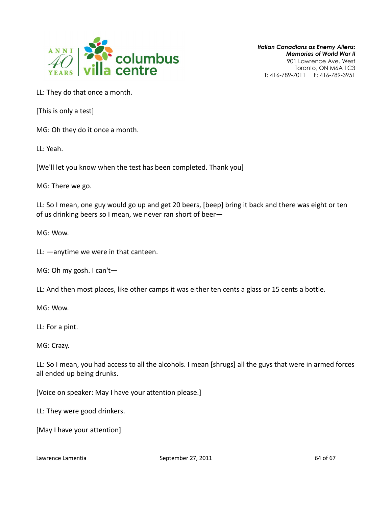

LL: They do that once a month.

[This is only a test]

MG: Oh they do it once a month.

LL: Yeah.

[We'll let you know when the test has been completed. Thank you]

MG: There we go.

LL: So I mean, one guy would go up and get 20 beers, [beep] bring it back and there was eight or ten of us drinking beers so I mean, we never ran short of beer—

MG: Wow.

LL: —anytime we were in that canteen.

MG: Oh my gosh. I can't—

LL: And then most places, like other camps it was either ten cents a glass or 15 cents a bottle.

MG: Wow.

LL: For a pint.

MG: Crazy.

LL: So I mean, you had access to all the alcohols. I mean [shrugs] all the guys that were in armed forces all ended up being drunks.

[Voice on speaker: May I have your attention please.]

LL: They were good drinkers.

[May I have your attention]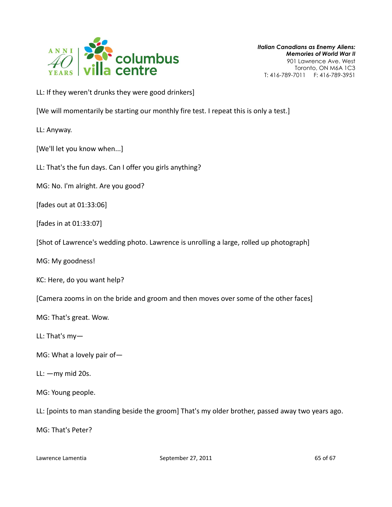

LL: If they weren't drunks they were good drinkers]

[We will momentarily be starting our monthly fire test. I repeat this is only a test.]

LL: Anyway.

[We'll let you know when...]

LL: That's the fun days. Can I offer you girls anything?

MG: No. I'm alright. Are you good?

[fades out at 01:33:06]

[fades in at 01:33:07]

[Shot of Lawrence's wedding photo. Lawrence is unrolling a large, rolled up photograph]

MG: My goodness!

KC: Here, do you want help?

[Camera zooms in on the bride and groom and then moves over some of the other faces]

MG: That's great. Wow.

LL: That's my—

- MG: What a lovely pair of—
- LL: —my mid 20s.
- MG: Young people.

LL: [points to man standing beside the groom] That's my older brother, passed away two years ago.

MG: That's Peter?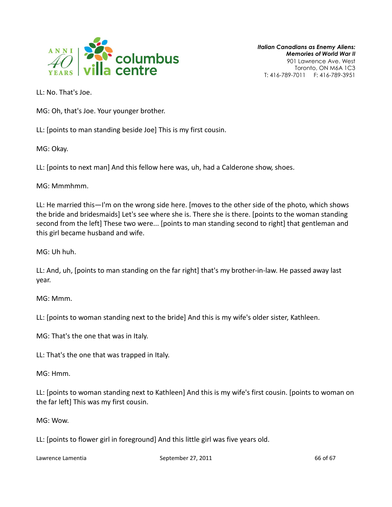

LL: No. That's Joe.

MG: Oh, that's Joe. Your younger brother.

LL: [points to man standing beside Joe] This is my first cousin.

MG: Okay.

LL: [points to next man] And this fellow here was, uh, had a Calderone show, shoes.

MG: Mmmhmm.

LL: He married this—I'm on the wrong side here. [moves to the other side of the photo, which shows the bride and bridesmaids] Let's see where she is. There she is there. [points to the woman standing second from the left] These two were... [points to man standing second to right] that gentleman and this girl became husband and wife.

MG: Uh huh.

LL: And, uh, [points to man standing on the far right] that's my brother-in-law. He passed away last year.

MG: Mmm.

LL: [points to woman standing next to the bride] And this is my wife's older sister, Kathleen.

MG: That's the one that was in Italy.

LL: That's the one that was trapped in Italy.

MG: Hmm.

LL: [points to woman standing next to Kathleen] And this is my wife's first cousin. [points to woman on the far left] This was my first cousin.

MG: Wow.

LL: [points to flower girl in foreground] And this little girl was five years old.

Lawrence Lamentia **September 27, 2011 September 27, 2011** 66 of 67